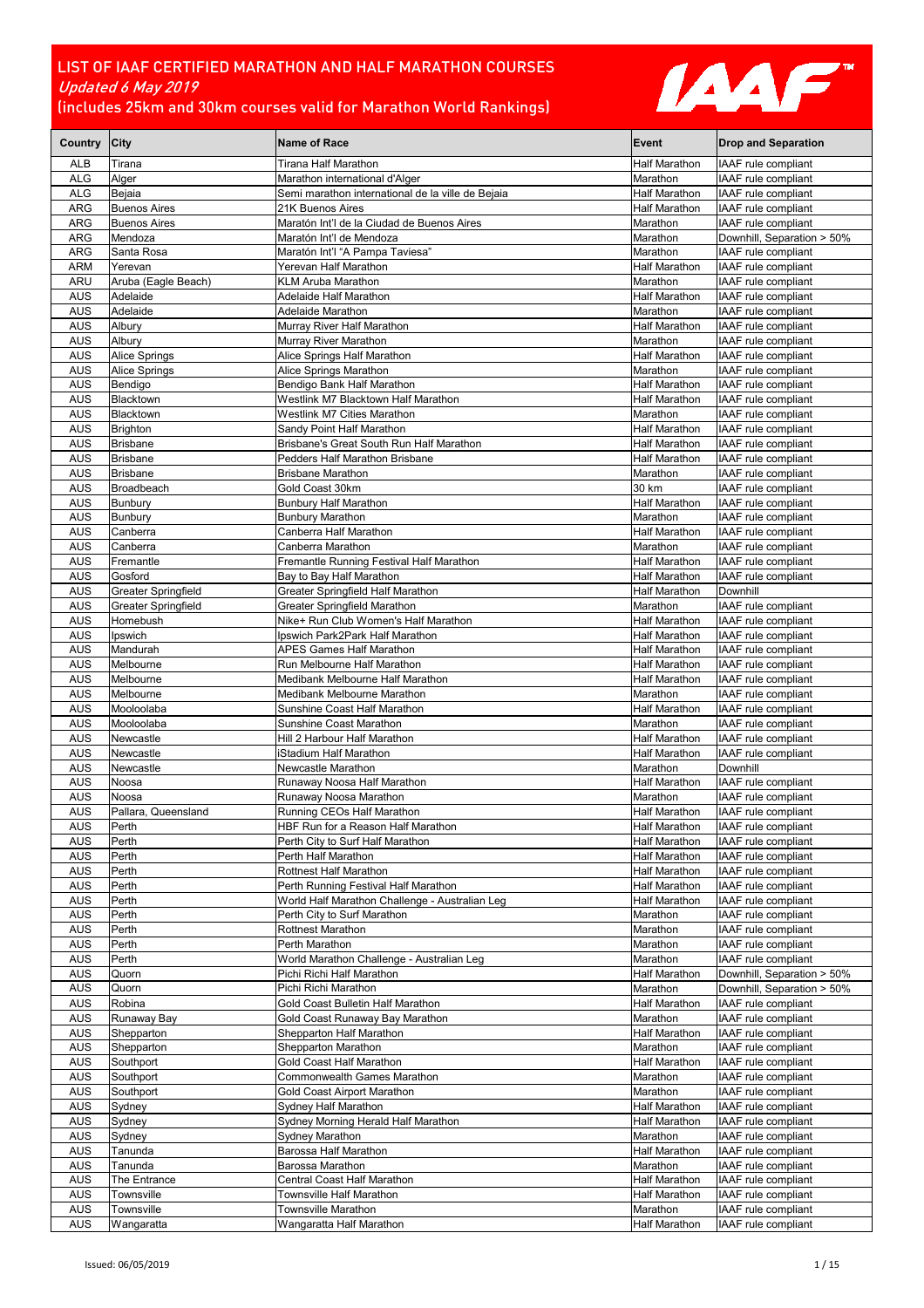

| Country City             |                                 | <b>Name of Race</b>                                     | Event                     | <b>Drop and Separation</b>                               |
|--------------------------|---------------------------------|---------------------------------------------------------|---------------------------|----------------------------------------------------------|
| ALB                      | Tirana                          | Tirana Half Marathon                                    | Half Marathon             | IAAF rule compliant                                      |
| <b>ALG</b>               | Alger                           | Marathon international d'Alger                          | Marathon                  | IAAF rule compliant                                      |
| ALG                      | Bejaia                          | Semi marathon international de la ville de Bejaia       | Half Marathon             | IAAF rule compliant                                      |
| <b>ARG</b>               | <b>Buenos Aires</b>             | 21K Buenos Aires                                        | Half Marathon             | IAAF rule compliant                                      |
| <b>ARG</b>               | <b>Buenos Aires</b>             | Maratón Int'l de la Ciudad de Buenos Aires              | Marathon                  | IAAF rule compliant                                      |
| ARG                      | Mendoza                         | Maratón Int'l de Mendoza                                | Marathon                  | Downhill, Separation > 50%                               |
| <b>ARG</b>               | Santa Rosa                      | Maratón Int'l "A Pampa Taviesa"                         | Marathon                  | IAAF rule compliant                                      |
| <b>ARM</b>               | Yerevan                         | Yerevan Half Marathon                                   | Half Marathon             | IAAF rule compliant                                      |
| ARU<br><b>AUS</b>        | Aruba (Eagle Beach)<br>Adelaide | KLM Aruba Marathon<br>Adelaide Half Marathon            | Marathon<br>Half Marathon | IAAF rule compliant<br>IAAF rule compliant               |
| <b>AUS</b>               | Adelaide                        | Adelaide Marathon                                       | Marathon                  | IAAF rule compliant                                      |
| AUS                      | Albury                          | Murray River Half Marathon                              | <b>Half Marathon</b>      | IAAF rule compliant                                      |
| <b>AUS</b>               | Albury                          | Murray River Marathon                                   | Marathon                  | IAAF rule compliant                                      |
| <b>AUS</b>               | Alice Springs                   | Alice Springs Half Marathon                             | <b>Half Marathon</b>      | <b>IAAF</b> rule compliant                               |
| <b>AUS</b>               | <b>Alice Springs</b>            | Alice Springs Marathon                                  | Marathon                  | IAAF rule compliant                                      |
| <b>AUS</b>               | Bendigo                         | Bendigo Bank Half Marathon                              | <b>Half Marathon</b>      | IAAF rule compliant                                      |
| AUS                      | Blacktown                       | Westlink M7 Blacktown Half Marathon                     | Half Marathon             | IAAF rule compliant                                      |
| <b>AUS</b>               | Blacktown                       | <b>Westlink M7 Cities Marathon</b>                      | Marathon                  | IAAF rule compliant                                      |
| <b>AUS</b>               | <b>Brighton</b>                 | Sandy Point Half Marathon                               | <b>Half Marathon</b>      | IAAF rule compliant                                      |
| <b>AUS</b>               | <b>Brisbane</b>                 | Brisbane's Great South Run Half Marathon                | <b>Half Marathon</b>      | IAAF rule compliant                                      |
| <b>AUS</b>               | <b>Brisbane</b>                 | Pedders Half Marathon Brisbane                          | <b>Half Marathon</b>      | IAAF rule compliant                                      |
| <b>AUS</b>               | <b>Brisbane</b>                 | <b>Brisbane Marathon</b>                                | Marathon                  | IAAF rule compliant                                      |
| <b>AUS</b>               | Broadbeach                      | Gold Coast 30km                                         | 30 km                     | IAAF rule compliant                                      |
| AUS                      | Bunbury                         | <b>Bunbury Half Marathon</b><br><b>Bunbury Marathon</b> | Half Marathon             | IAAF rule compliant                                      |
| AUS                      | Bunbury                         |                                                         | Marathon                  | IAAF rule compliant<br><b>IAAF</b> rule compliant        |
| <b>AUS</b><br><b>AUS</b> | Canberra<br>Canberra            | Canberra Half Marathon<br>Canberra Marathon             | Half Marathon<br>Marathon | IAAF rule compliant                                      |
| <b>AUS</b>               | Fremantle                       | Fremantle Running Festival Half Marathon                | Half Marathon             | IAAF rule compliant                                      |
| <b>AUS</b>               | Gosford                         | Bay to Bay Half Marathon                                | <b>Half Marathon</b>      | IAAF rule compliant                                      |
| <b>AUS</b>               | Greater Springfield             | Greater Springfield Half Marathon                       | <b>Half Marathon</b>      | Downhill                                                 |
| AUS                      | <b>Greater Springfield</b>      | Greater Springfield Marathon                            | Marathon                  | IAAF rule compliant                                      |
| <b>AUS</b>               | Homebush                        | Nike+ Run Club Women's Half Marathon                    | <b>Half Marathon</b>      | IAAF rule compliant                                      |
| <b>AUS</b>               | Ipswich                         | Ipswich Park2Park Half Marathon                         | Half Marathon             | IAAF rule compliant                                      |
| <b>AUS</b>               | Mandurah                        | APES Games Half Marathon                                | Half Marathon             | IAAF rule compliant                                      |
| <b>AUS</b>               | Melbourne                       | Run Melbourne Half Marathon                             | Half Marathon             | IAAF rule compliant                                      |
| <b>AUS</b>               | Melbourne                       | Medibank Melbourne Half Marathon                        | Half Marathon             | IAAF rule compliant                                      |
| <b>AUS</b>               | Melbourne                       | Medibank Melbourne Marathon                             | Marathon                  | IAAF rule compliant                                      |
| <b>AUS</b>               | Mooloolaba                      | Sunshine Coast Half Marathon                            | Half Marathon             | IAAF rule compliant                                      |
| <b>AUS</b>               | Mooloolaba                      | Sunshine Coast Marathon                                 | Marathon                  | IAAF rule compliant                                      |
| <b>AUS</b>               | Newcastle                       | Hill 2 Harbour Half Marathon                            | Half Marathon             | IAAF rule compliant                                      |
| <b>AUS</b>               | Newcastle<br>Newcastle          | iStadium Half Marathon<br>Newcastle Marathon            | Half Marathon<br>Marathon | IAAF rule compliant<br>Downhill                          |
| <b>AUS</b><br>AUS        | Noosa                           | Runaway Noosa Half Marathon                             | Half Marathon             | IAAF rule compliant                                      |
| <b>AUS</b>               | Noosa                           | Runaway Noosa Marathon                                  | Marathon                  | <b>IAAF</b> rule compliant                               |
| <b>AUS</b>               | Pallara, Queensland             | Running CEOs Half Marathon                              | Half Marathon             | IAAF rule compliant                                      |
| <b>AUS</b>               | Perth                           | HBF Run for a Reason Half Marathon                      | <b>Half Marathon</b>      | IAAF rule compliant                                      |
| AUS                      | Perth                           | Perth City to Surf Half Marathon                        | Half Marathon             | IAAF rule compliant                                      |
| AUS                      | Perth                           | Perth Half Marathon                                     | Half Marathon             | IAAF rule compliant                                      |
| <b>AUS</b>               | Perth                           | Rottnest Half Marathon                                  | <b>Half Marathon</b>      | IAAF rule compliant                                      |
| AUS                      | Perth                           | Perth Running Festival Half Marathon                    | <b>Half Marathon</b>      | IAAF rule compliant                                      |
| <b>AUS</b>               | Perth                           | World Half Marathon Challenge - Australian Leg          | <b>Half Marathon</b>      | IAAF rule compliant                                      |
| <b>AUS</b>               | Perth                           | Perth City to Surf Marathon                             | Marathon                  | IAAF rule compliant                                      |
| <b>AUS</b>               | Perth                           | Rottnest Marathon                                       | Marathon                  | IAAF rule compliant                                      |
| <b>AUS</b>               | Perth                           | Perth Marathon                                          | Marathon                  | IAAF rule compliant                                      |
| AUS                      | Perth                           | World Marathon Challenge - Australian Leg               | Marathon                  | IAAF rule compliant                                      |
| <b>AUS</b><br><b>AUS</b> | Quorn                           | Pichi Richi Half Marathon<br>Pichi Richi Marathon       | Half Marathon             | Downhill, Separation > 50%<br>Downhill, Separation > 50% |
| <b>AUS</b>               | Quorn<br>Robina                 | Gold Coast Bulletin Half Marathon                       | Marathon<br>Half Marathon | IAAF rule compliant                                      |
| <b>AUS</b>               | Runaway Bay                     | Gold Coast Runaway Bay Marathon                         | Marathon                  | IAAF rule compliant                                      |
| <b>AUS</b>               | Shepparton                      | Shepparton Half Marathon                                | Half Marathon             | IAAF rule compliant                                      |
| <b>AUS</b>               | Shepparton                      | Shepparton Marathon                                     | Marathon                  | IAAF rule compliant                                      |
| AUS                      | Southport                       | Gold Coast Half Marathon                                | Half Marathon             | IAAF rule compliant                                      |
| <b>AUS</b>               | Southport                       | Commonwealth Games Marathon                             | Marathon                  | IAAF rule compliant                                      |
| <b>AUS</b>               | Southport                       | Gold Coast Airport Marathon                             | Marathon                  | IAAF rule compliant                                      |
| <b>AUS</b>               | Sydney                          | Sydney Half Marathon                                    | Half Marathon             | IAAF rule compliant                                      |
| <b>AUS</b>               | Sydney                          | Sydney Morning Herald Half Marathon                     | Half Marathon             | IAAF rule compliant                                      |
| AUS                      | Sydney                          | Sydney Marathon                                         | Marathon                  | IAAF rule compliant                                      |
| <b>AUS</b>               | Tanunda                         | Barossa Half Marathon                                   | Half Marathon             | IAAF rule compliant                                      |
| <b>AUS</b>               | Tanunda                         | Barossa Marathon                                        | Marathon                  | IAAF rule compliant                                      |
| <b>AUS</b>               | The Entrance                    | Central Coast Half Marathon                             | Half Marathon             | IAAF rule compliant                                      |
| <b>AUS</b>               | Townsville                      | Townsville Half Marathon                                | Half Marathon             | IAAF rule compliant                                      |
| <b>AUS</b><br><b>AUS</b> | Townsville<br>Wangaratta        | Townsville Marathon<br>Wangaratta Half Marathon         | Marathon<br>Half Marathon | IAAF rule compliant<br>IAAF rule compliant               |
|                          |                                 |                                                         |                           |                                                          |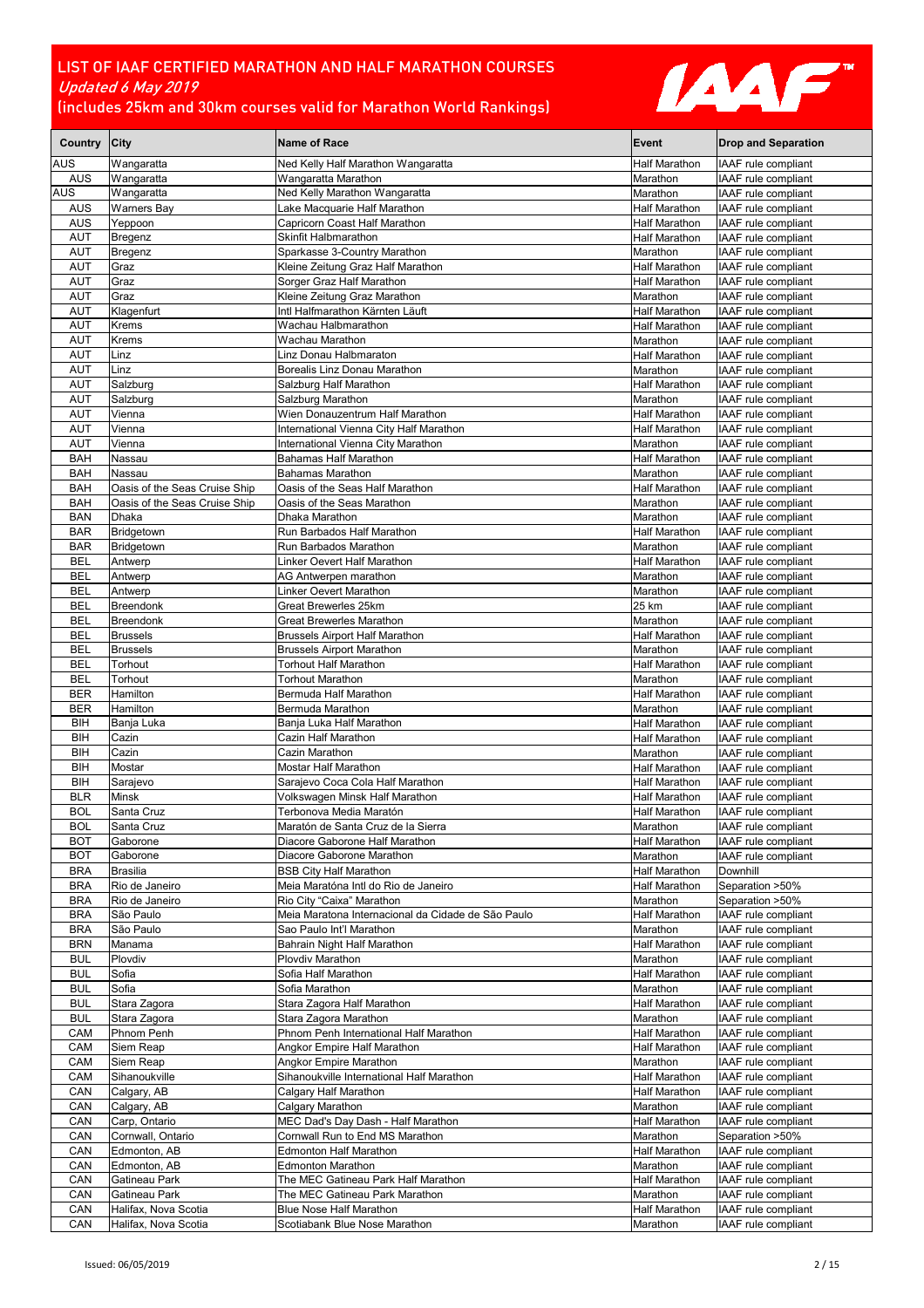

| Country City             |                                    | <b>Name of Race</b>                                             | Event                            | <b>Drop and Separation</b>                 |
|--------------------------|------------------------------------|-----------------------------------------------------------------|----------------------------------|--------------------------------------------|
| AUS                      | Wangaratta                         | Ned Kelly Half Marathon Wangaratta                              | Half Marathon                    | IAAF rule compliant                        |
| <b>AUS</b>               | Wangaratta                         | Wangaratta Marathon                                             | Marathon                         | IAAF rule compliant                        |
| <b>AUS</b>               | Wangaratta                         | Ned Kelly Marathon Wangaratta                                   | Marathon                         | IAAF rule compliant                        |
| AUS                      | <b>Warners Bay</b>                 | Lake Macquarie Half Marathon                                    | Half Marathon                    | IAAF rule compliant                        |
| <b>AUS</b>               | Yeppoon                            | Capricorn Coast Half Marathon                                   | <b>Half Marathon</b>             | IAAF rule compliant                        |
| <b>AUT</b><br><b>AUT</b> | Bregenz<br>Bregenz                 | <b>Skinfit Halbmarathon</b><br>Sparkasse 3-Country Marathon     | Half Marathon<br>Marathon        | IAAF rule compliant<br>IAAF rule compliant |
| <b>AUT</b>               | Graz                               | Kleine Zeitung Graz Half Marathon                               | <b>Half Marathon</b>             | IAAF rule compliant                        |
| <b>AUT</b>               | Graz                               | Sorger Graz Half Marathon                                       | Half Marathon                    | IAAF rule compliant                        |
| <b>AUT</b>               | Graz                               | Kleine Zeitung Graz Marathon                                    | Marathon                         | IAAF rule compliant                        |
| <b>AUT</b>               | Klagenfurt                         | Intl Halfmarathon Kärnten Läuft                                 | Half Marathon                    | IAAF rule compliant                        |
| <b>AUT</b>               | Krems                              | Wachau Halbmarathon                                             | Half Marathon                    | IAAF rule compliant                        |
| <b>AUT</b>               | <b>Krems</b>                       | Wachau Marathon                                                 | Marathon                         | IAAF rule compliant                        |
| <b>AUT</b>               | Linz                               | Linz Donau Halbmaraton                                          | Half Marathon                    | IAAF rule compliant                        |
| <b>AUT</b>               | Linz                               | Borealis Linz Donau Marathon                                    | Marathon                         | IAAF rule compliant                        |
| AUT                      | Salzburg                           | Salzburg Half Marathon                                          | Half Marathon                    | IAAF rule compliant                        |
| <b>AUT</b><br><b>AUT</b> | Salzburg<br>Vienna                 | Salzburg Marathon<br>Wien Donauzentrum Half Marathon            | Marathon<br>Half Marathon        | IAAF rule compliant<br>IAAF rule compliant |
| <b>AUT</b>               | Vienna                             | International Vienna City Half Marathon                         | <b>Half Marathon</b>             | IAAF rule compliant                        |
| <b>AUT</b>               | Vienna                             | International Vienna City Marathon                              | Marathon                         | IAAF rule compliant                        |
| <b>BAH</b>               | Nassau                             | Bahamas Half Marathon                                           | <b>Half Marathon</b>             | IAAF rule compliant                        |
| <b>BAH</b>               | Nassau                             | <b>Bahamas Marathon</b>                                         | Marathon                         | IAAF rule compliant                        |
| <b>BAH</b>               | Oasis of the Seas Cruise Ship      | Oasis of the Seas Half Marathon                                 | Half Marathon                    | IAAF rule compliant                        |
| <b>BAH</b>               | Oasis of the Seas Cruise Ship      | Oasis of the Seas Marathon                                      | Marathon                         | IAAF rule compliant                        |
| <b>BAN</b>               | <b>Dhaka</b>                       | Dhaka Marathon                                                  | Marathon                         | IAAF rule compliant                        |
| <b>BAR</b>               | Bridgetown                         | Run Barbados Half Marathon                                      | Half Marathon                    | IAAF rule compliant                        |
| <b>BAR</b>               | Bridgetown                         | Run Barbados Marathon                                           | Marathon                         | IAAF rule compliant                        |
| BEL                      | Antwerp                            | Linker Oevert Half Marathon                                     | Half Marathon                    | IAAF rule compliant                        |
| BEL                      | Antwerp                            | AG Antwerpen marathon                                           | Marathon                         | IAAF rule compliant                        |
| <b>BEL</b>               | Antwerp                            | Linker Oevert Marathon                                          | Marathon                         | IAAF rule compliant                        |
| <b>BEL</b>               | Breendonk                          | Great Brewerles 25km                                            | 25 km                            | IAAF rule compliant                        |
| <b>BEL</b>               | <b>Breendonk</b>                   | Great Brewerles Marathon                                        | Marathon                         | IAAF rule compliant                        |
| <b>BEL</b><br><b>BEL</b> | <b>Brussels</b><br><b>Brussels</b> | <b>Brussels Airport Half Marathon</b>                           | <b>Half Marathon</b>             | IAAF rule compliant                        |
| BEL                      | Torhout                            | <b>Brussels Airport Marathon</b><br>Torhout Half Marathon       | Marathon<br>Half Marathon        | IAAF rule compliant<br>IAAF rule compliant |
| <b>BEL</b>               | Torhout                            | <b>Torhout Marathon</b>                                         | Marathon                         | IAAF rule compliant                        |
| <b>BER</b>               | Hamilton                           | Bermuda Half Marathon                                           | Half Marathon                    | IAAF rule compliant                        |
| <b>BER</b>               | Hamilton                           | Bermuda Marathon                                                | Marathon                         | IAAF rule compliant                        |
| BIH                      | Banja Luka                         | Banja Luka Half Marathon                                        | Half Marathon                    | IAAF rule compliant                        |
| BIH                      | Cazin                              | Cazin Half Marathon                                             | Half Marathon                    | IAAF rule compliant                        |
| BIH                      | Cazin                              | Cazin Marathon                                                  | Marathon                         | IAAF rule compliant                        |
| BIH                      | Mostar                             | Mostar Half Marathon                                            | Half Marathon                    | IAAF rule compliant                        |
| BIH                      | Sarajevo                           | Sarajevo Coca Cola Half Marathon                                | <b>Half Marathon</b>             | IAAF rule compliant                        |
| <b>BLR</b>               | Minsk                              | Volkswagen Minsk Half Marathon                                  | Half Marathon                    | IAAF rule compliant                        |
| <b>BOL</b>               | Santa Cruz                         | Terbonova Media Maratón<br>Maratón de Santa Cruz de la Sierra   | Half Marathon                    | IAAF rule compliant                        |
| <b>BOL</b><br><b>BOT</b> | Santa Cruz<br>Gaborone             | Diacore Gaborone Half Marathon                                  | Marathon<br><b>Half Marathon</b> | IAAF rule compliant<br>IAAF rule compliant |
| <b>BOT</b>               | Gaborone                           | Diacore Gaborone Marathon                                       | Marathon                         | <b>IAAF</b> rule compliant                 |
| <b>BRA</b>               | <b>Brasilia</b>                    | <b>BSB City Half Marathon</b>                                   | Half Marathon                    | Downhill                                   |
| <b>BRA</b>               | Rio de Janeiro                     | Meia Maratóna Intl do Rio de Janeiro                            | Half Marathon                    | Separation >50%                            |
| <b>BRA</b>               | Rio de Janeiro                     | Rio City "Caixa" Marathon                                       | Marathon                         | Separation >50%                            |
| <b>BRA</b>               | São Paulo                          | Meia Maratona Internacional da Cidade de São Paulo              | <b>Half Marathon</b>             | IAAF rule compliant                        |
| <b>BRA</b>               | São Paulo                          | Sao Paulo Int'l Marathon                                        | Marathon                         | IAAF rule compliant                        |
| <b>BRN</b>               | Manama                             | Bahrain Night Half Marathon                                     | <b>Half Marathon</b>             | IAAF rule compliant                        |
| <b>BUL</b>               | Plovdiv                            | Plovdiv Marathon                                                | Marathon                         | IAAF rule compliant                        |
| BUL                      | Sofia                              | Sofia Half Marathon                                             | Half Marathon                    | IAAF rule compliant                        |
| <b>BUL</b>               | Sofia                              | Sofia Marathon                                                  | Marathon                         | IAAF rule compliant                        |
| <b>BUL</b>               | Stara Zagora                       | Stara Zagora Half Marathon                                      | Half Marathon                    | IAAF rule compliant                        |
| <b>BUL</b><br>CAM        | Stara Zagora<br>Phnom Penh         | Stara Zagora Marathon<br>Phnom Penh International Half Marathon | Marathon<br><b>Half Marathon</b> | IAAF rule compliant<br>IAAF rule compliant |
| CAM                      | Siem Reap                          | Angkor Empire Half Marathon                                     | Half Marathon                    | IAAF rule compliant                        |
| CAM                      | Siem Reap                          | Angkor Empire Marathon                                          | Marathon                         | IAAF rule compliant                        |
| CAM                      | Sihanoukville                      | Sihanoukville International Half Marathon                       | Half Marathon                    | IAAF rule compliant                        |
| CAN                      | Calgary, AB                        | Calgary Half Marathon                                           | Half Marathon                    | IAAF rule compliant                        |
| CAN                      | Calgary, AB                        | Calgary Marathon                                                | Marathon                         | IAAF rule compliant                        |
| CAN                      | Carp, Ontario                      | MEC Dad's Day Dash - Half Marathon                              | Half Marathon                    | IAAF rule compliant                        |
| CAN                      | Cornwall, Ontario                  | Cornwall Run to End MS Marathon                                 | Marathon                         | Separation >50%                            |
| CAN                      | Edmonton, AB                       | Edmonton Half Marathon                                          | Half Marathon                    | IAAF rule compliant                        |
| CAN                      | Edmonton, AB                       | <b>Edmonton Marathon</b>                                        | Marathon                         | IAAF rule compliant                        |
| CAN                      | Gatineau Park                      | The MEC Gatineau Park Half Marathon                             | Half Marathon                    | IAAF rule compliant                        |
| CAN                      | Gatineau Park                      | The MEC Gatineau Park Marathon                                  | Marathon                         | IAAF rule compliant                        |
| CAN                      | Halifax, Nova Scotia               | <b>Blue Nose Half Marathon</b>                                  | Half Marathon                    | IAAF rule compliant                        |
| CAN                      | Halifax, Nova Scotia               | Scotiabank Blue Nose Marathon                                   | Marathon                         | IAAF rule compliant                        |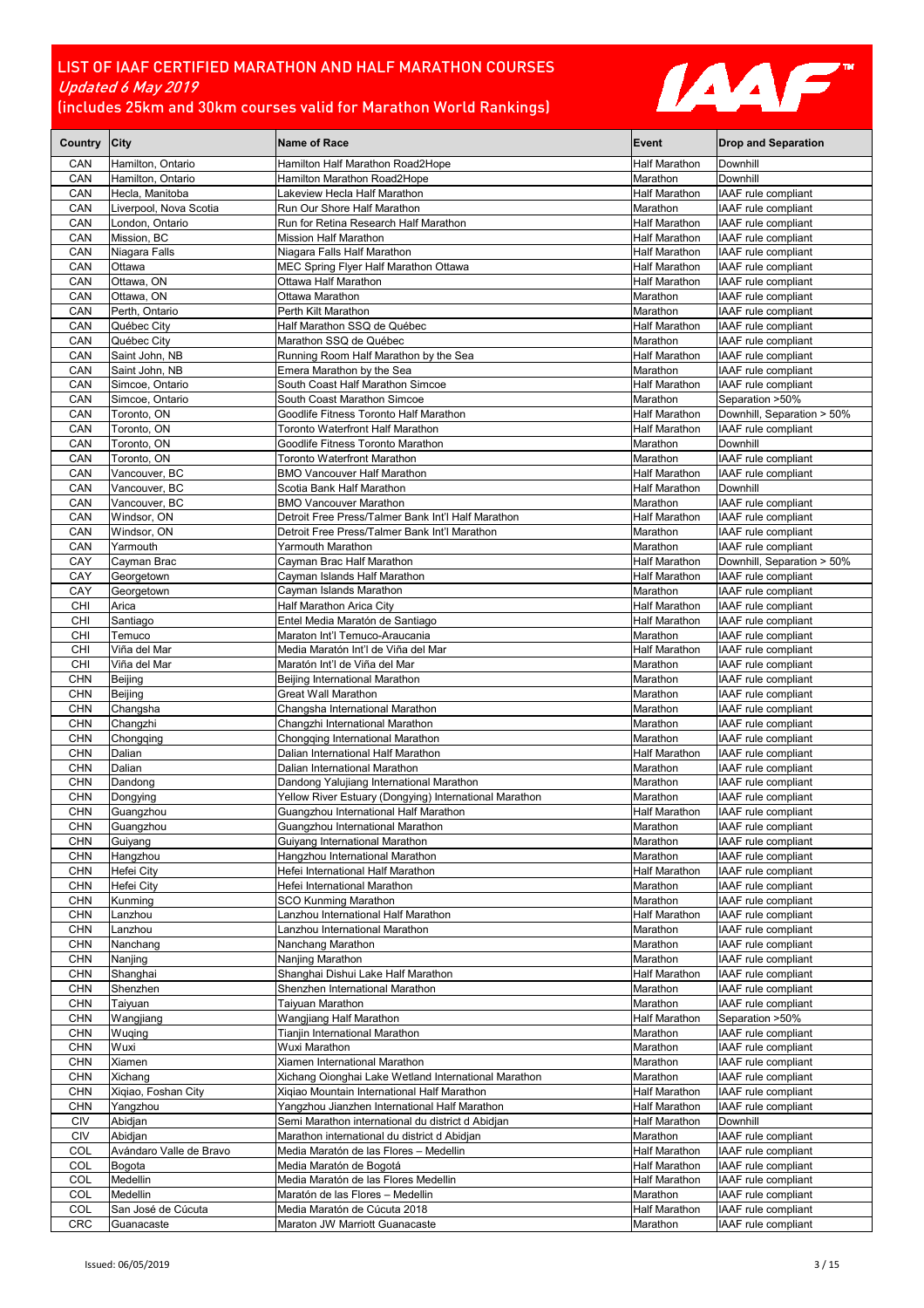

| Country                  | City                              | <b>Name of Race</b>                                                                                 | Event                                 | <b>Drop and Separation</b>                 |
|--------------------------|-----------------------------------|-----------------------------------------------------------------------------------------------------|---------------------------------------|--------------------------------------------|
| CAN                      | Hamilton, Ontario                 | Hamilton Half Marathon Road2Hope                                                                    | Half Marathon                         | Downhill                                   |
| CAN                      | Hamilton, Ontario                 | Hamilton Marathon Road2Hope                                                                         | Marathon                              | Downhill                                   |
| CAN                      | Hecla, Manitoba                   | akeview Hecla Half Marathon.                                                                        | <b>Half Marathon</b>                  | IAAF rule compliant                        |
| CAN                      | Liverpool, Nova Scotia            | Run Our Shore Half Marathon                                                                         | Marathon                              | IAAF rule compliant                        |
| CAN<br>CAN               | London, Ontario<br>Mission, BC    | Run for Retina Research Half Marathon<br><b>Mission Half Marathon</b>                               | <b>Half Marathon</b><br>Half Marathon | IAAF rule compliant<br>IAAF rule compliant |
| CAN                      | Niagara Falls                     | Niagara Falls Half Marathon                                                                         | Half Marathon                         | IAAF rule compliant                        |
| CAN                      | Ottawa                            | MEC Spring Flyer Half Marathon Ottawa                                                               | <b>Half Marathon</b>                  | IAAF rule compliant                        |
| CAN                      | Ottawa, ON                        | Ottawa Half Marathon                                                                                | <b>Half Marathon</b>                  | IAAF rule compliant                        |
| CAN                      | Ottawa, ON                        | Ottawa Marathon                                                                                     | Marathon                              | IAAF rule compliant                        |
| CAN                      | Perth, Ontario                    | Perth Kilt Marathon                                                                                 | Marathon                              | IAAF rule compliant                        |
| CAN                      | Québec City                       | Half Marathon SSQ de Québec                                                                         | <b>Half Marathon</b>                  | IAAF rule compliant                        |
| CAN                      | Québec City                       | Marathon SSQ de Québec                                                                              | Marathon                              | IAAF rule compliant                        |
| CAN                      | Saint John, NB                    | Running Room Half Marathon by the Sea                                                               | Half Marathon                         | IAAF rule compliant                        |
| CAN<br>CAN               | Saint John, NB<br>Simcoe, Ontario | Emera Marathon by the Sea<br>South Coast Half Marathon Simcoe                                       | Marathon<br><b>Half Marathon</b>      | IAAF rule compliant<br>IAAF rule compliant |
| CAN                      | Simcoe, Ontario                   | South Coast Marathon Simcoe                                                                         | Marathon                              | Separation >50%                            |
| CAN                      | Toronto, ON                       | Goodlife Fitness Toronto Half Marathon                                                              | Half Marathon                         | Downhill, Separation > 50%                 |
| CAN                      | Toronto, ON                       | Toronto Waterfront Half Marathon                                                                    | Half Marathon                         | IAAF rule compliant                        |
| CAN                      | Toronto, ON                       | Goodlife Fitness Toronto Marathon                                                                   | Marathon                              | Downhill                                   |
| CAN                      | Toronto, ON                       | Toronto Waterfront Marathon                                                                         | Marathon                              | IAAF rule compliant                        |
| CAN                      | Vancouver, BC                     | <b>BMO Vancouver Half Marathon</b>                                                                  | <b>Half Marathon</b>                  | IAAF rule compliant                        |
| CAN                      | Vancouver, BC                     | Scotia Bank Half Marathon                                                                           | <b>Half Marathon</b>                  | Downhill                                   |
| CAN                      | Vancouver, BC                     | <b>BMO Vancouver Marathon</b>                                                                       | Marathon                              | IAAF rule compliant                        |
| CAN<br>CAN               | Windsor, ON<br>Windsor, ON        | Detroit Free Press/Talmer Bank Int'l Half Marathon<br>Detroit Free Press/Talmer Bank Int'l Marathon | <b>Half Marathon</b><br>Marathon      | IAAF rule compliant<br>IAAF rule compliant |
| CAN                      | Yarmouth                          | Yarmouth Marathon                                                                                   | Marathon                              | IAAF rule compliant                        |
| CAY                      | Cavman Brac                       | Cayman Brac Half Marathon                                                                           | Half Marathon                         | Downhill, Separation > 50%                 |
| CAY                      | Georgetown                        | Cayman Islands Half Marathon                                                                        | <b>Half Marathon</b>                  | IAAF rule compliant                        |
| CAY                      | Georgetown                        | Cayman Islands Marathon                                                                             | Marathon                              | IAAF rule compliant                        |
| CHI                      | Arica                             | Half Marathon Arica City                                                                            | Half Marathon                         | IAAF rule compliant                        |
| CHI                      | Santiago                          | Entel Media Maratón de Santiago                                                                     | Half Marathon                         | IAAF rule compliant                        |
| CHI                      | Temuco                            | Maraton Int'l Temuco-Araucania                                                                      | Marathon                              | IAAF rule compliant                        |
| CHI                      | Viña del Mar                      | Media Maratón Int'l de Viña del Mar                                                                 | <b>Half Marathon</b>                  | IAAF rule compliant                        |
| CHI<br><b>CHN</b>        | Viña del Mar<br>Beijing           | Maratón Int'l de Viña del Mar<br>Beijing International Marathon                                     | Marathon<br>Marathon                  | IAAF rule compliant<br>IAAF rule compliant |
| <b>CHN</b>               | Beijing                           | Great Wall Marathon                                                                                 | Marathon                              | IAAF rule compliant                        |
| <b>CHN</b>               | Changsha                          | Changsha International Marathon                                                                     | Marathon                              | IAAF rule compliant                        |
| <b>CHN</b>               | Changzhi                          | Changzhi International Marathon                                                                     | Marathon                              | IAAF rule compliant                        |
| <b>CHN</b>               | Chongging                         | Chongqing International Marathon                                                                    | Marathon                              | IAAF rule compliant                        |
| <b>CHN</b>               | Dalian                            | Dalian International Half Marathon                                                                  | <b>Half Marathon</b>                  | IAAF rule compliant                        |
| <b>CHN</b>               | Dalian                            | Dalian International Marathon                                                                       | Marathon                              | IAAF rule compliant                        |
| <b>CHN</b>               | Dandong                           | Dandong Yalujiang International Marathon                                                            | Marathon                              | IAAF rule compliant                        |
| <b>CHN</b>               | Dongying                          | Yellow River Estuary (Dongying) International Marathon                                              | Marathon                              | IAAF rule compliant                        |
| <b>CHN</b><br>CHN        | Guangzhou<br>Guangzhou            | Guangzhou International Half Marathon<br>Guangzhou International Marathon                           | Half Marathon<br>Marathon             | IAAF rule compliant<br>IAAF rule compliant |
| <b>CHN</b>               | Guiyang                           | Guiyang International Marathon                                                                      | Marathon                              | IAAF rule compliant                        |
| <b>CHN</b>               | Hangzhou                          | Hangzhou International Marathon                                                                     | Marathon                              | IAAF rule compliant                        |
| <b>CHN</b>               | Hefei City                        | Hefei International Half Marathon                                                                   | Half Marathon                         | IAAF rule compliant                        |
| <b>CHN</b>               | Hefei City                        | Hefei International Marathon                                                                        | Marathon                              | IAAF rule compliant                        |
| <b>CHN</b>               | Kunming                           | <b>SCO Kunming Marathon</b>                                                                         | Marathon                              | IAAF rule compliant                        |
| <b>CHN</b>               | Lanzhou                           | Lanzhou International Half Marathon                                                                 | Half Marathon                         | IAAF rule compliant                        |
| <b>CHN</b>               | Lanzhou                           | Lanzhou International Marathon                                                                      | Marathon                              | IAAF rule compliant                        |
| <b>CHN</b><br>CHN        | Nanchang<br>Nanjing               | Nanchang Marathon<br>Nanjing Marathon                                                               | Marathon<br>Marathon                  | IAAF rule compliant<br>IAAF rule compliant |
| CHN                      | Shanghai                          | Shanghai Dishui Lake Half Marathon                                                                  | <b>Half Marathon</b>                  | IAAF rule compliant                        |
| <b>CHN</b>               | Shenzhen                          | Shenzhen International Marathon                                                                     | Marathon                              | IAAF rule compliant                        |
| <b>CHN</b>               | Taiyuan                           | Taiyuan Marathon                                                                                    | Marathon                              | IAAF rule compliant                        |
| <b>CHN</b>               | Wangjiang                         | Wangjiang Half Marathon                                                                             | Half Marathon                         | Separation >50%                            |
| <b>CHN</b>               | Wuqing                            | Tianjin International Marathon                                                                      | Marathon                              | IAAF rule compliant                        |
| <b>CHN</b>               | Wuxi                              | Wuxi Marathon                                                                                       | Marathon                              | IAAF rule compliant                        |
| CHN                      | Xiamen                            | Xiamen International Marathon                                                                       | Marathon                              | IAAF rule compliant                        |
| <b>CHN</b>               | Xichang<br>Xiqiao, Foshan City    | Xichang Oionghai Lake Wetland International Marathon                                                | Marathon                              | IAAF rule compliant                        |
| <b>CHN</b><br><b>CHN</b> | Yangzhou                          | Xiqiao Mountain International Half Marathon<br>Yangzhou Jianzhen International Half Marathon        | Half Marathon<br>Half Marathon        | IAAF rule compliant<br>IAAF rule compliant |
| <b>CIV</b>               | Abidjan                           | Semi Marathon international du district d Abidjan                                                   | Half Marathon                         | Downhill                                   |
| CIV                      | Abidjan                           | Marathon international du district d Abidjan                                                        | Marathon                              | IAAF rule compliant                        |
| COL                      | Avándaro Valle de Bravo           | Media Maratón de las Flores - Medellin                                                              | Half Marathon                         | IAAF rule compliant                        |
| COL                      | Bogota                            | Media Maratón de Bogotá                                                                             | Half Marathon                         | IAAF rule compliant                        |
| COL                      | Medellin                          | Media Maratón de las Flores Medellin                                                                | Half Marathon                         | IAAF rule compliant                        |
| COL                      | Medellin                          | Maratón de las Flores - Medellin                                                                    | Marathon                              | IAAF rule compliant                        |
| COL<br>CRC               | San José de Cúcuta<br>Guanacaste  | Media Maratón de Cúcuta 2018<br>Maraton JW Marriott Guanacaste                                      | Half Marathon<br>Marathon             | IAAF rule compliant<br>IAAF rule compliant |
|                          |                                   |                                                                                                     |                                       |                                            |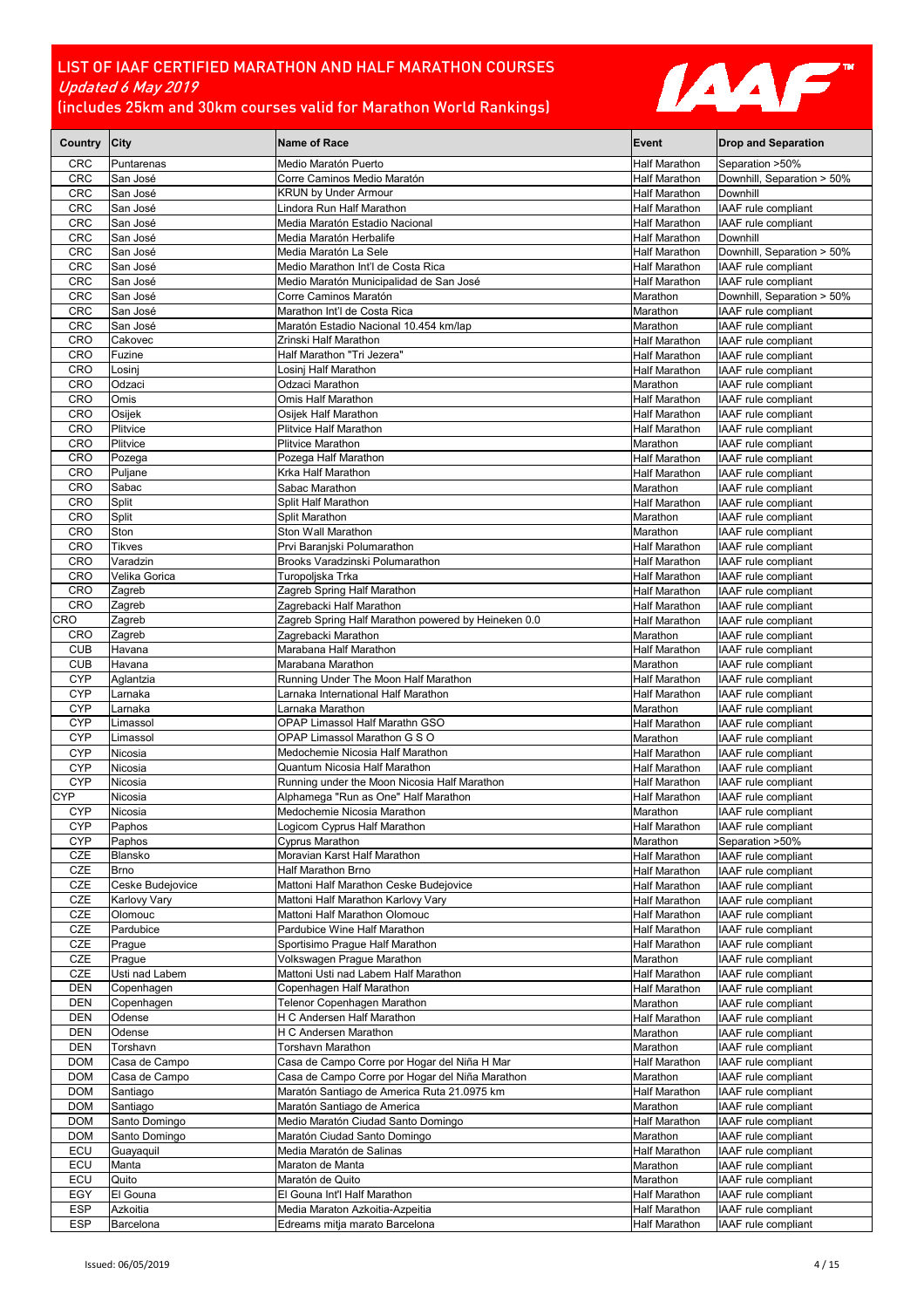

| Country City             |                                         | <b>Name of Race</b>                                                          | Event                                 | <b>Drop and Separation</b>                 |
|--------------------------|-----------------------------------------|------------------------------------------------------------------------------|---------------------------------------|--------------------------------------------|
| CRC                      | Puntarenas                              | Medio Maratón Puerto                                                         | Half Marathon                         | Separation >50%                            |
| <b>CRC</b>               | San José                                | Corre Caminos Medio Maratón                                                  | Half Marathon                         | Downhill, Separation > 50%                 |
| <b>CRC</b>               | San José                                | <b>KRUN by Under Armour</b>                                                  | Half Marathon                         | Downhill                                   |
| <b>CRC</b>               | San José                                | Lindora Run Half Marathon                                                    | Half Marathon                         | IAAF rule compliant                        |
| <b>CRC</b>               | San José                                | Media Maratón Estadio Nacional                                               | Half Marathon                         | IAAF rule compliant<br>Downhill            |
| <b>CRC</b><br>CRC        | San José<br>San José                    | Media Maratón Herbalife<br>Media Maratón La Sele                             | <b>Half Marathon</b><br>Half Marathon | Downhill, Separation > 50%                 |
| <b>CRC</b>               | San José                                | Medio Marathon Int'l de Costa Rica                                           | Half Marathon                         | IAAF rule compliant                        |
| <b>CRC</b>               | San José                                | Medio Maratón Municipalidad de San José                                      | Half Marathon                         | IAAF rule compliant                        |
| <b>CRC</b>               | San José                                | Corre Caminos Maratón                                                        | Marathon                              | Downhill, Separation > 50%                 |
| <b>CRC</b>               | San José                                | Marathon Int'l de Costa Rica                                                 | Marathon                              | IAAF rule compliant                        |
| <b>CRC</b>               | San José                                | Maratón Estadio Nacional 10.454 km/lap                                       | Marathon                              | IAAF rule compliant                        |
| CRO                      | Cakovec                                 | Zrinski Half Marathon                                                        | Half Marathon                         | IAAF rule compliant                        |
| <b>CRO</b>               | Fuzine                                  | Half Marathon "Tri Jezera"                                                   | <b>Half Marathon</b>                  | IAAF rule compliant                        |
| <b>CRO</b>               | Losinj                                  | Losinj Half Marathon                                                         | <b>Half Marathon</b>                  | IAAF rule compliant                        |
| <b>CRO</b><br><b>CRO</b> | Odzaci<br>Omis                          | Odzaci Marathon<br>Omis Half Marathon                                        | Marathon<br>Half Marathon             | IAAF rule compliant<br>IAAF rule compliant |
| <b>CRO</b>               | Osijek                                  | Osijek Half Marathon                                                         | Half Marathon                         | IAAF rule compliant                        |
| <b>CRO</b>               | Plitvice                                | Plitvice Half Marathon                                                       | Half Marathon                         | IAAF rule compliant                        |
| <b>CRO</b>               | Plitvice                                | Plitvice Marathon                                                            | Marathon                              | IAAF rule compliant                        |
| <b>CRO</b>               | Pozega                                  | Pozega Half Marathon                                                         | <b>Half Marathon</b>                  | IAAF rule compliant                        |
| <b>CRO</b>               | Puljane                                 | Krka Half Marathon                                                           | <b>Half Marathon</b>                  | IAAF rule compliant                        |
| <b>CRO</b>               | Sabac                                   | Sabac Marathon                                                               | Marathon                              | IAAF rule compliant                        |
| <b>CRO</b>               | Split                                   | Split Half Marathon                                                          | Half Marathon                         | IAAF rule compliant                        |
| <b>CRO</b>               | Split                                   | Split Marathon                                                               | Marathon                              | IAAF rule compliant                        |
| <b>CRO</b>               | Ston                                    | Ston Wall Marathon                                                           | Marathon                              | IAAF rule compliant                        |
| <b>CRO</b>               | <b>Tikves</b>                           | Prvi Baranjski Polumarathon                                                  | <b>Half Marathon</b>                  | IAAF rule compliant                        |
| <b>CRO</b><br><b>CRO</b> | Varadzin<br>Velika Gorica               | Brooks Varadzinski Polumarathon<br>Turopoljska Trka                          | Half Marathon<br><b>Half Marathon</b> | IAAF rule compliant<br>IAAF rule compliant |
| <b>CRO</b>               | Zagreb                                  | Zagreb Spring Half Marathon                                                  | Half Marathon                         | IAAF rule compliant                        |
| <b>CRO</b>               | Zagreb                                  | Zagrebacki Half Marathon                                                     | <b>Half Marathon</b>                  | IAAF rule compliant                        |
| CRO                      | Zagreb                                  | Zagreb Spring Half Marathon powered by Heineken 0.0                          | Half Marathon                         | IAAF rule compliant                        |
| <b>CRO</b>               | Zagreb                                  | Zagrebacki Marathon                                                          | Marathon                              | IAAF rule compliant                        |
| <b>CUB</b>               | Havana                                  | Marabana Half Marathon                                                       | Half Marathon                         | IAAF rule compliant                        |
| <b>CUB</b>               | Havana                                  | Marabana Marathon                                                            | Marathon                              | IAAF rule compliant                        |
| <b>CYP</b>               | Aglantzia                               | Running Under The Moon Half Marathon                                         | Half Marathon                         | IAAF rule compliant                        |
| <b>CYP</b>               | Larnaka                                 | Larnaka International Half Marathon                                          | Half Marathon                         | IAAF rule compliant                        |
| <b>CYP</b>               | Larnaka                                 | Larnaka Marathon                                                             | Marathon                              | IAAF rule compliant                        |
| <b>CYP</b><br><b>CYP</b> | Limassol<br>Limassol                    | OPAP Limassol Half Marathn GSO<br>OPAP Limassol Marathon G S O               | Half Marathon<br>Marathon             | IAAF rule compliant<br>IAAF rule compliant |
| <b>CYP</b>               | Nicosia                                 | Medochemie Nicosia Half Marathon                                             | Half Marathon                         | IAAF rule compliant                        |
| <b>CYP</b>               | Nicosia                                 | Quantum Nicosia Half Marathon                                                | Half Marathon                         | <b>IAAF</b> rule compliant                 |
| <b>CYP</b>               | Nicosia                                 | Running under the Moon Nicosia Half Marathon                                 | Half Marathon                         | IAAF rule compliant                        |
| <b>CYP</b>               | Nicosia                                 | Alphamega "Run as One" Half Marathon                                         | Half Marathon                         | IAAF rule compliant                        |
| CYP                      | Nicosia                                 | Medochemie Nicosia Marathon                                                  | Marathon                              | IAAF rule compliant                        |
| <b>CYP</b>               | Paphos                                  | Logicom Cyprus Half Marathon                                                 | <b>Half Marathon</b>                  | IAAF rule compliant                        |
| <b>CYP</b>               | Paphos                                  | <b>Cyprus Marathon</b>                                                       | Marathon                              | Separation >50%                            |
| CZE                      | Blansko                                 | Moravian Karst Half Marathon                                                 | Half Marathon                         | IAAF rule compliant                        |
| CZE                      | <b>Brno</b>                             | Half Marathon Brno                                                           | Half Marathon                         | IAAF rule compliant                        |
| CZE<br>CZE               | Ceske Budejovice<br><b>Karlovy Vary</b> | Mattoni Half Marathon Ceske Budejovice<br>Mattoni Half Marathon Karlovy Vary | Half Marathon<br>Half Marathon        | IAAF rule compliant<br>IAAF rule compliant |
| CZE                      | Olomouc                                 | Mattoni Half Marathon Olomouc                                                | Half Marathon                         | IAAF rule compliant                        |
| CZE                      | Pardubice                               | Pardubice Wine Half Marathon                                                 | <b>Half Marathon</b>                  | IAAF rule compliant                        |
| CZE                      | Prague                                  | Sportisimo Praque Half Marathon                                              | Half Marathon                         | IAAF rule compliant                        |
| CZE                      | Prague                                  | Volkswagen Prague Marathon                                                   | Marathon                              | IAAF rule compliant                        |
| CZE                      | Usti nad Labem                          | Mattoni Usti nad Labem Half Marathon                                         | Half Marathon                         | IAAF rule compliant                        |
| <b>DEN</b>               | Copenhagen                              | Copenhagen Half Marathon                                                     | Half Marathon                         | IAAF rule compliant                        |
| <b>DEN</b>               | Copenhagen                              | Telenor Copenhagen Marathon                                                  | Marathon                              | IAAF rule compliant                        |
| <b>DEN</b>               | Odense                                  | H C Andersen Half Marathon                                                   | Half Marathon                         | IAAF rule compliant                        |
| <b>DEN</b>               | Odense                                  | H C Andersen Marathon                                                        | Marathon                              | IAAF rule compliant                        |
| <b>DEN</b><br><b>DOM</b> | Torshavn                                | Torshavn Marathon<br>Casa de Campo Corre por Hogar del Niña H Mar            | Marathon<br>Half Marathon             | IAAF rule compliant<br>IAAF rule compliant |
| <b>DOM</b>               | Casa de Campo<br>Casa de Campo          | Casa de Campo Corre por Hogar del Niña Marathon                              | Marathon                              | IAAF rule compliant                        |
| <b>DOM</b>               | Santiago                                | Maratón Santiago de America Ruta 21.0975 km                                  | Half Marathon                         | IAAF rule compliant                        |
| <b>DOM</b>               | Santiago                                | Maratón Santiago de America                                                  | Marathon                              | IAAF rule compliant                        |
| <b>DOM</b>               | Santo Domingo                           | Medio Maratón Ciudad Santo Domingo                                           | Half Marathon                         | IAAF rule compliant                        |
| <b>DOM</b>               | Santo Domingo                           | Maratón Ciudad Santo Domingo                                                 | Marathon                              | IAAF rule compliant                        |
| ECU                      | Guayaquil                               | Media Maratón de Salinas                                                     | Half Marathon                         | IAAF rule compliant                        |
| ECU                      | Manta                                   | Maraton de Manta                                                             | Marathon                              | IAAF rule compliant                        |
| ECU                      | Quito                                   | Maratón de Quito                                                             | Marathon                              | IAAF rule compliant                        |
| EGY                      | El Gouna                                | El Gouna Int'l Half Marathon                                                 | Half Marathon                         | IAAF rule compliant                        |
| <b>ESP</b>               | Azkoitia                                | Media Maraton Azkoitia-Azpeitia                                              | Half Marathon                         | IAAF rule compliant                        |
| <b>ESP</b>               | Barcelona                               | Edreams mitja marato Barcelona                                               | Half Marathon                         | IAAF rule compliant                        |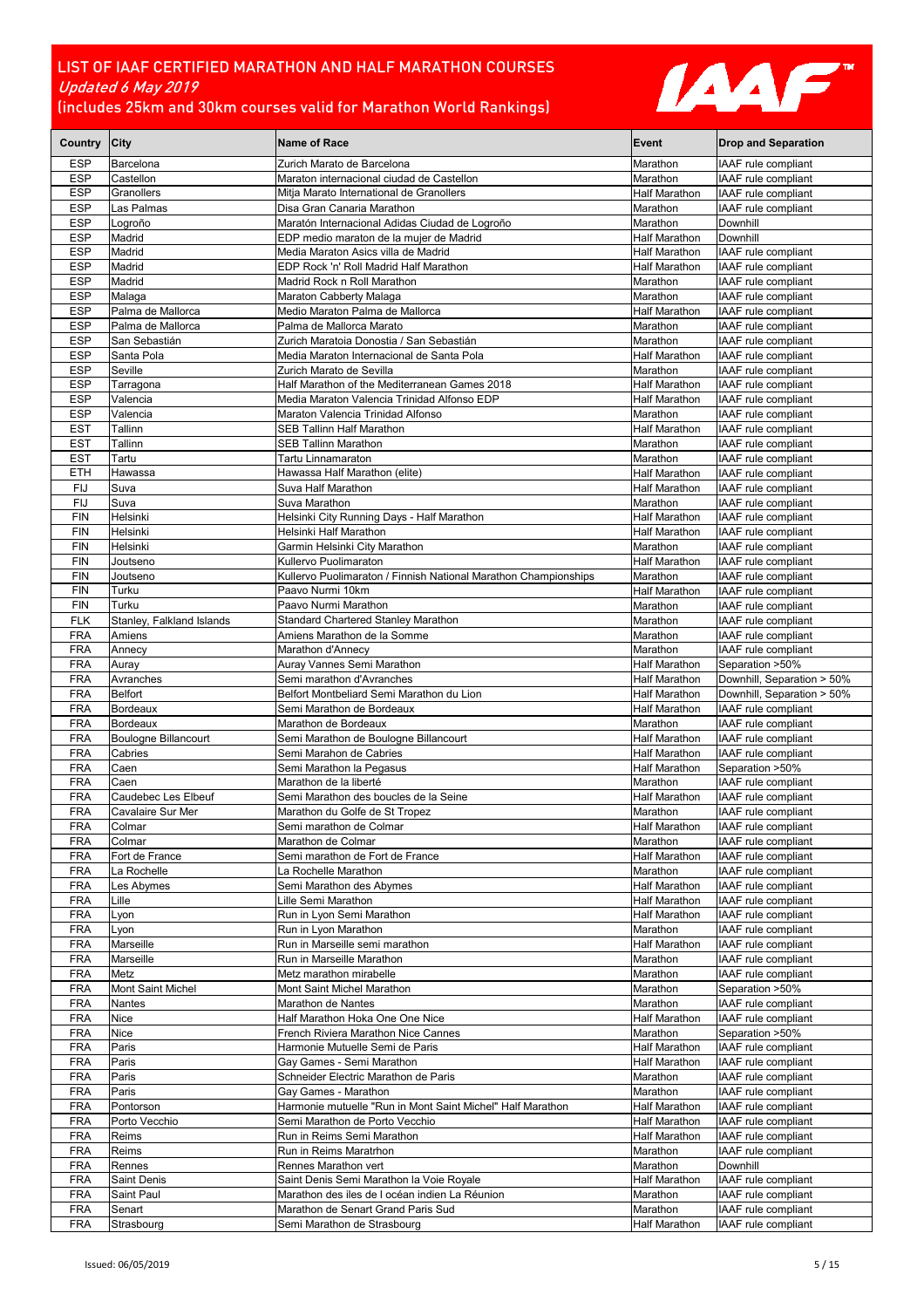

| Country City             |                                        | Name of Race                                                                       | Event                                        | <b>Drop and Separation</b>                        |
|--------------------------|----------------------------------------|------------------------------------------------------------------------------------|----------------------------------------------|---------------------------------------------------|
| <b>ESP</b>               | Barcelona                              | Zurich Marato de Barcelona                                                         | Marathon                                     | IAAF rule compliant                               |
| <b>ESP</b>               | Castellon                              | Maraton internacional ciudad de Castellon                                          | Marathon                                     | IAAF rule compliant                               |
| <b>ESP</b>               | Granollers                             | Mitja Marato International de Granollers                                           | Half Marathon                                | IAAF rule compliant                               |
| <b>ESP</b>               | Las Palmas                             | Disa Gran Canaria Marathon                                                         | Marathon                                     | IAAF rule compliant                               |
| <b>ESP</b>               | Logroño                                | Maratón Internacional Adidas Ciudad de Logroño                                     | Marathon                                     | Downhill                                          |
| <b>ESP</b><br><b>ESP</b> | Madrid<br>Madrid                       | EDP medio maraton de la mujer de Madrid<br>Media Maraton Asics villa de Madrid     | Half Marathon<br><b>Half Marathon</b>        | <b>Downhill</b><br>IAAF rule compliant            |
| <b>ESP</b>               | Madrid                                 | EDP Rock 'n' Roll Madrid Half Marathon                                             | <b>Half Marathon</b>                         | IAAF rule compliant                               |
| <b>ESP</b>               | Madrid                                 | Madrid Rock n Roll Marathon                                                        | Marathon                                     | IAAF rule compliant                               |
| <b>ESP</b>               | Malaga                                 | Maraton Cabberty Malaga                                                            | Marathon                                     | IAAF rule compliant                               |
| <b>ESP</b>               | Palma de Mallorca                      | Medio Maraton Palma de Mallorca                                                    | <b>Half Marathon</b>                         | IAAF rule compliant                               |
| <b>ESP</b>               | Palma de Mallorca                      | Palma de Mallorca Marato                                                           | Marathon                                     | IAAF rule compliant                               |
| <b>ESP</b>               | San Sebastián                          | Zurich Maratoia Donostia / San Sebastián                                           | Marathon                                     | IAAF rule compliant                               |
| <b>ESP</b><br><b>ESP</b> | Santa Pola<br>Seville                  | Media Maraton Internacional de Santa Pola<br>Zurich Marato de Sevilla              | <b>Half Marathon</b><br>Marathon             | IAAF rule compliant<br>IAAF rule compliant        |
| <b>ESP</b>               | Tarragona                              | Half Marathon of the Mediterranean Games 2018                                      | Half Marathon                                | IAAF rule compliant                               |
| <b>ESP</b>               | Valencia                               | Media Maraton Valencia Trinidad Alfonso EDP                                        | <b>Half Marathon</b>                         | IAAF rule compliant                               |
| <b>ESP</b>               | Valencia                               | Maraton Valencia Trinidad Alfonso                                                  | Marathon                                     | IAAF rule compliant                               |
| <b>EST</b>               | Tallinn                                | <b>SEB Tallinn Half Marathon</b>                                                   | Half Marathon                                | IAAF rule compliant                               |
| <b>EST</b>               | Tallinn                                | <b>SEB Tallinn Marathon</b>                                                        | Marathon                                     | IAAF rule compliant                               |
| <b>EST</b>               | Tartu                                  | Tartu Linnamaraton                                                                 | Marathon                                     | IAAF rule compliant                               |
| <b>ETH</b>               | Hawassa                                | Hawassa Half Marathon (elite)                                                      | <b>Half Marathon</b>                         | IAAF rule compliant                               |
| FIJ<br><b>FIJ</b>        | Suva<br>Suva                           | Suva Half Marathon<br>Suva Marathon                                                | <b>Half Marathon</b><br>Marathon             | IAAF rule compliant<br>IAAF rule compliant        |
| <b>FIN</b>               | Helsinki                               | Helsinki City Running Days - Half Marathon                                         | <b>Half Marathon</b>                         | IAAF rule compliant                               |
| <b>FIN</b>               | Helsinki                               | Helsinki Half Marathon                                                             | <b>Half Marathon</b>                         | IAAF rule compliant                               |
| <b>FIN</b>               | Helsinki                               | Garmin Helsinki City Marathon                                                      | Marathon                                     | IAAF rule compliant                               |
| <b>FIN</b>               | Joutseno                               | Kullervo Puolimaraton                                                              | <b>Half Marathon</b>                         | IAAF rule compliant                               |
| <b>FIN</b>               | Joutseno                               | Kullervo Puolimaraton / Finnish National Marathon Championships                    | Marathon                                     | IAAF rule compliant                               |
| <b>FIN</b>               | Turku                                  | Paavo Nurmi 10km                                                                   | <b>Half Marathon</b>                         | IAAF rule compliant                               |
| <b>FIN</b>               | Turku                                  | Paavo Nurmi Marathon                                                               | Marathon                                     | IAAF rule compliant                               |
| <b>FLK</b><br><b>FRA</b> | Stanley, Falkland Islands<br>Amiens    | Standard Chartered Stanley Marathon<br>Amiens Marathon de la Somme                 | Marathon<br>Marathon                         | IAAF rule compliant<br>IAAF rule compliant        |
| <b>FRA</b>               | Annecy                                 | Marathon d'Annecy                                                                  | Marathon                                     | IAAF rule compliant                               |
| <b>FRA</b>               | Auray                                  | Auray Vannes Semi Marathon                                                         | Half Marathon                                | Separation >50%                                   |
| <b>FRA</b>               | Avranches                              | Semi marathon d'Avranches                                                          | <b>Half Marathon</b>                         | Downhill, Separation > 50%                        |
| <b>FRA</b>               | <b>Belfort</b>                         | Belfort Montbeliard Semi Marathon du Lion                                          | <b>Half Marathon</b>                         | Downhill, Separation > 50%                        |
| <b>FRA</b>               | <b>Bordeaux</b>                        | Semi Marathon de Bordeaux                                                          | Half Marathon                                | IAAF rule compliant                               |
| <b>FRA</b>               | <b>Bordeaux</b>                        | Marathon de Bordeaux                                                               | Marathon                                     | IAAF rule compliant                               |
| <b>FRA</b><br><b>FRA</b> | <b>Boulogne Billancourt</b><br>Cabries | Semi Marathon de Boulogne Billancourt<br>Semi Marahon de Cabries                   | <b>Half Marathon</b><br><b>Half Marathon</b> | <b>IAAF</b> rule compliant<br>IAAF rule compliant |
| <b>FRA</b>               | Caen                                   | Semi Marathon la Pegasus                                                           | <b>Half Marathon</b>                         | Separation >50%                                   |
| <b>FRA</b>               | Caen                                   | Marathon de la liberté                                                             | Marathon                                     | IAAF rule compliant                               |
| <b>FRA</b>               | Caudebec Les Elbeuf                    | Semi Marathon des boucles de la Seine                                              | <b>Half Marathon</b>                         | IAAF rule compliant                               |
| <b>FRA</b>               | Cavalaire Sur Mer                      | Marathon du Golfe de St Tropez                                                     | Marathon                                     | IAAF rule compliant                               |
| <b>FRA</b>               | Colmar                                 | Semi marathon de Colmar                                                            | <b>Half Marathon</b>                         | IAAF rule compliant                               |
| <b>FRA</b>               | Colmar                                 | Marathon de Colmar                                                                 | Marathon                                     | IAAF rule compliant                               |
| <b>FRA</b><br><b>FRA</b> | Fort de France<br>La Rochelle          | Semi marathon de Fort de France<br>La Rochelle Marathon                            | <b>Half Marathon</b><br>Marathon             | IAAF rule compliant<br>IAAF rule compliant        |
| <b>FRA</b>               | Les Abymes                             | Semi Marathon des Abymes                                                           | <b>Half Marathon</b>                         | IAAF rule compliant                               |
| <b>FRA</b>               | Lille                                  | Lille Semi Marathon                                                                | <b>Half Marathon</b>                         | IAAF rule compliant                               |
| <b>FRA</b>               | Lyon                                   | Run in Lyon Semi Marathon                                                          | Half Marathon                                | IAAF rule compliant                               |
| <b>FRA</b>               | Lyon                                   | Run in Lyon Marathon                                                               | Marathon                                     | IAAF rule compliant                               |
| <b>FRA</b>               | Marseille                              | Run in Marseille semi marathon                                                     | <b>Half Marathon</b>                         | IAAF rule compliant                               |
| <b>FRA</b><br><b>FRA</b> | Marseille<br>Metz                      | Run in Marseille Marathon<br>Metz marathon mirabelle                               | Marathon<br>Marathon                         | IAAF rule compliant<br>IAAF rule compliant        |
| <b>FRA</b>               | Mont Saint Michel                      | Mont Saint Michel Marathon                                                         | Marathon                                     | Separation >50%                                   |
| <b>FRA</b>               | Nantes                                 | Marathon de Nantes                                                                 | Marathon                                     | IAAF rule compliant                               |
| <b>FRA</b>               | Nice                                   | Half Marathon Hoka One One Nice                                                    | Half Marathon                                | IAAF rule compliant                               |
| <b>FRA</b>               | Nice                                   | French Riviera Marathon Nice Cannes                                                | Marathon                                     | Separation >50%                                   |
| <b>FRA</b>               | Paris                                  | Harmonie Mutuelle Semi de Paris                                                    | <b>Half Marathon</b>                         | IAAF rule compliant                               |
| <b>FRA</b>               | Paris                                  | Gay Games - Semi Marathon                                                          | <b>Half Marathon</b>                         | IAAF rule compliant                               |
| <b>FRA</b>               | Paris                                  | Schneider Electric Marathon de Paris                                               | Marathon                                     | IAAF rule compliant                               |
| <b>FRA</b><br><b>FRA</b> | Paris<br>Pontorson                     | Gay Games - Marathon<br>Harmonie mutuelle "Run in Mont Saint Michel" Half Marathon | Marathon<br>Half Marathon                    | IAAF rule compliant<br>IAAF rule compliant        |
| <b>FRA</b>               | Porto Vecchio                          | Semi Marathon de Porto Vecchio                                                     | <b>Half Marathon</b>                         | IAAF rule compliant                               |
| <b>FRA</b>               | Reims                                  | Run in Reims Semi Marathon                                                         | <b>Half Marathon</b>                         | IAAF rule compliant                               |
| <b>FRA</b>               | Reims                                  | Run in Reims Maratrhon                                                             | Marathon                                     | IAAF rule compliant                               |
| <b>FRA</b>               | Rennes                                 | Rennes Marathon vert                                                               | Marathon                                     | Downhill                                          |
| <b>FRA</b>               | <b>Saint Denis</b>                     | Saint Denis Semi Marathon la Voie Royale                                           | <b>Half Marathon</b>                         | IAAF rule compliant                               |
| <b>FRA</b>               | Saint Paul                             | Marathon des iles de I océan indien La Réunion                                     | Marathon                                     | IAAF rule compliant                               |
| <b>FRA</b><br><b>FRA</b> | Senart<br>Strasbourg                   | Marathon de Senart Grand Paris Sud<br>Semi Marathon de Strasbourg                  | Marathon<br>Half Marathon                    | IAAF rule compliant<br>IAAF rule compliant        |
|                          |                                        |                                                                                    |                                              |                                                   |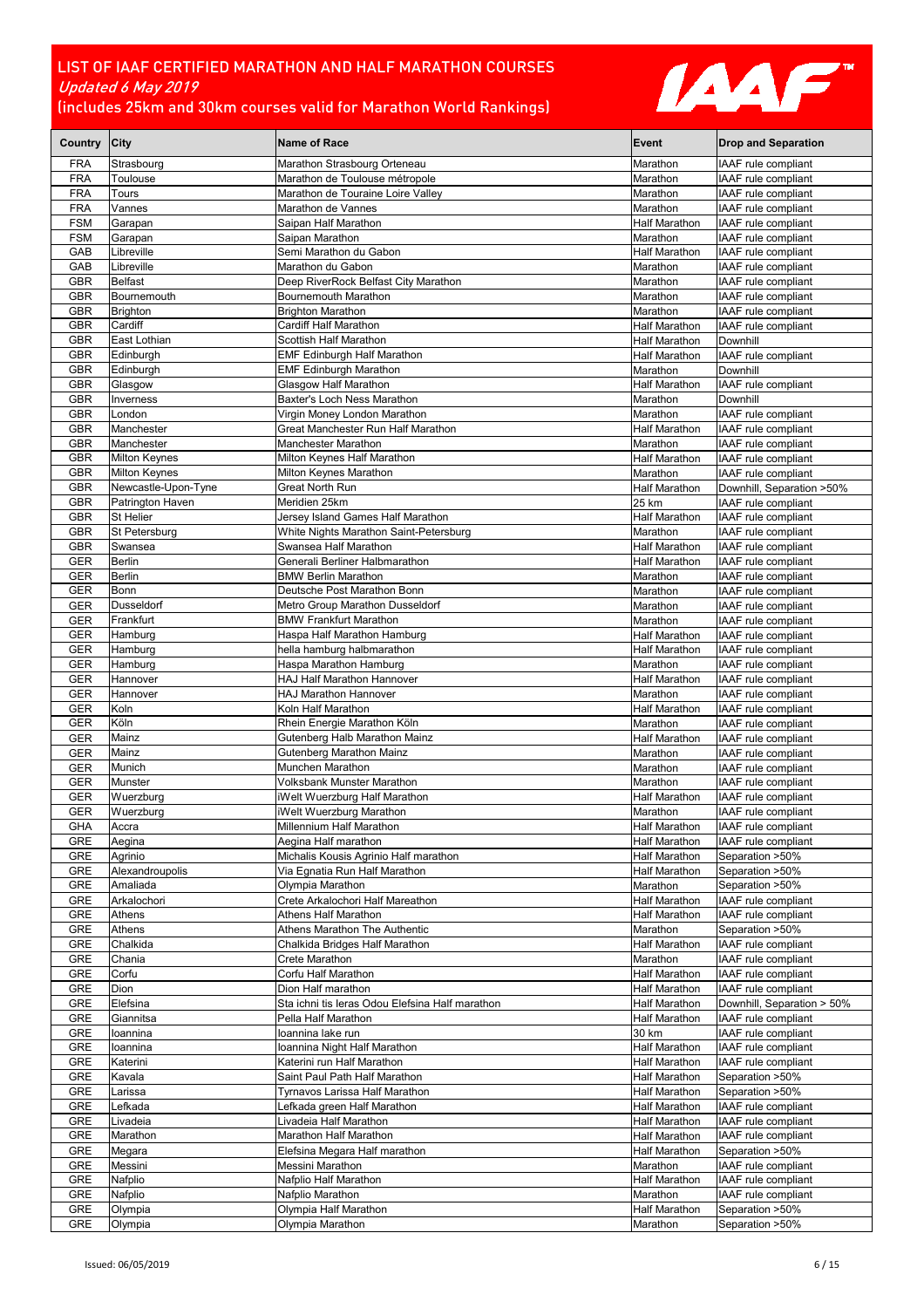

| Country City             |                            | <b>Name of Race</b>                                                         | Event                                        | <b>Drop and Separation</b>                        |
|--------------------------|----------------------------|-----------------------------------------------------------------------------|----------------------------------------------|---------------------------------------------------|
| <b>FRA</b>               | Strasbourg                 | Marathon Strasbourg Orteneau                                                | Marathon                                     | IAAF rule compliant                               |
| <b>FRA</b>               | Toulouse                   | Marathon de Toulouse métropole                                              | Marathon                                     | IAAF rule compliant                               |
| <b>FRA</b>               | Tours                      | Marathon de Touraine Loire Valley                                           | Marathon                                     | IAAF rule compliant                               |
| <b>FRA</b><br><b>FSM</b> | Vannes<br>Garapan          | Marathon de Vannes<br>Saipan Half Marathon                                  | Marathon<br><b>Half Marathon</b>             | IAAF rule compliant<br>IAAF rule compliant        |
| <b>FSM</b>               | Garapan                    | Saipan Marathon                                                             | Marathon                                     | IAAF rule compliant                               |
| GAB                      | Libreville                 | Semi Marathon du Gabon                                                      | Half Marathon                                | IAAF rule compliant                               |
| GAB                      | Libreville                 | Marathon du Gabon                                                           | Marathon                                     | IAAF rule compliant                               |
| <b>GBR</b>               | <b>Belfast</b>             | Deep RiverRock Belfast City Marathon                                        | Marathon                                     | IAAF rule compliant                               |
| <b>GBR</b>               | Bournemouth                | Bournemouth Marathon                                                        | Marathon                                     | IAAF rule compliant<br><b>IAAF</b> rule compliant |
| GBR<br><b>GBR</b>        | <b>Brighton</b><br>Cardiff | <b>Brighton Marathon</b><br>Cardiff Half Marathon                           | Marathon<br><b>Half Marathon</b>             | IAAF rule compliant                               |
| <b>GBR</b>               | East Lothian               | Scottish Half Marathon                                                      | Half Marathon                                | Downhill                                          |
| GBR                      | Edinburgh                  | <b>EMF Edinburgh Half Marathon</b>                                          | <b>Half Marathon</b>                         | IAAF rule compliant                               |
| <b>GBR</b>               | Edinburgh                  | <b>EMF Edinburgh Marathon</b>                                               | Marathon                                     | Downhill                                          |
| <b>GBR</b>               | Glasgow                    | Glasgow Half Marathon                                                       | <b>Half Marathon</b>                         | IAAF rule compliant                               |
| <b>GBR</b>               | Inverness                  | Baxter's Loch Ness Marathon                                                 | Marathon                                     | Downhill                                          |
| <b>GBR</b><br><b>GBR</b> | London<br>Manchester       | Virgin Money London Marathon<br>Great Manchester Run Half Marathon          | Marathon<br>Half Marathon                    | IAAF rule compliant<br>IAAF rule compliant        |
| <b>GBR</b>               | Manchester                 | Manchester Marathon                                                         | Marathon                                     | IAAF rule compliant                               |
| <b>GBR</b>               | <b>Milton Keynes</b>       | Milton Keynes Half Marathon                                                 | Half Marathon                                | IAAF rule compliant                               |
| <b>GBR</b>               | <b>Milton Keynes</b>       | Milton Keynes Marathon                                                      | Marathon                                     | IAAF rule compliant                               |
| GBR                      | Newcastle-Upon-Tyne        | <b>Great North Run</b>                                                      | <b>Half Marathon</b>                         | Downhill, Separation >50%                         |
| <b>GBR</b>               | Patrington Haven           | Meridien 25km                                                               | 25 km                                        | IAAF rule compliant                               |
| <b>GBR</b><br><b>GBR</b> | St Helier<br>St Petersburg | Jersey Island Games Half Marathon<br>White Nights Marathon Saint-Petersburg | Half Marathon<br>Marathon                    | IAAF rule compliant<br>IAAF rule compliant        |
| <b>GBR</b>               | Swansea                    | Swansea Half Marathon                                                       | <b>Half Marathon</b>                         | IAAF rule compliant                               |
| <b>GER</b>               | <b>Berlin</b>              | Generali Berliner Halbmarathon                                              | <b>Half Marathon</b>                         | IAAF rule compliant                               |
| <b>GER</b>               | <b>Berlin</b>              | <b>BMW Berlin Marathon</b>                                                  | Marathon                                     | IAAF rule compliant                               |
| <b>GER</b>               | Bonn                       | Deutsche Post Marathon Bonn                                                 | Marathon                                     | IAAF rule compliant                               |
| <b>GER</b>               | Dusseldorf                 | Metro Group Marathon Dusseldorf                                             | Marathon                                     | IAAF rule compliant                               |
| <b>GER</b><br>GER        | Frankfurt<br>Hamburg       | <b>BMW Frankfurt Marathon</b><br>Haspa Half Marathon Hamburg                | Marathon<br><b>Half Marathon</b>             | IAAF rule compliant<br>IAAF rule compliant        |
| <b>GER</b>               | Hamburg                    | hella hamburg halbmarathon                                                  | <b>Half Marathon</b>                         | IAAF rule compliant                               |
| GER                      | Hamburg                    | Haspa Marathon Hamburg                                                      | Marathon                                     | IAAF rule compliant                               |
| <b>GER</b>               | Hannover                   | <b>HAJ Half Marathon Hannover</b>                                           | <b>Half Marathon</b>                         | IAAF rule compliant                               |
| <b>GER</b>               | Hannover                   | <b>HAJ Marathon Hannover</b>                                                | Marathon                                     | IAAF rule compliant                               |
| <b>GER</b>               | Koln                       | Koln Half Marathon                                                          | Half Marathon                                | IAAF rule compliant                               |
| GER<br><b>GER</b>        | Köln<br>Mainz              | Rhein Energie Marathon Köln<br>Gutenberg Halb Marathon Mainz                | Marathon<br><b>Half Marathon</b>             | IAAF rule compliant<br>IAAF rule compliant        |
| <b>GER</b>               | Mainz                      | Gutenberg Marathon Mainz                                                    | Marathon                                     | IAAF rule compliant                               |
| GER                      | Munich                     | Munchen Marathon                                                            | Marathon                                     | IAAF rule compliant                               |
| <b>GER</b>               | Munster                    | Volksbank Munster Marathon                                                  | Marathon                                     | IAAF rule compliant                               |
| <b>GER</b>               | Wuerzburg                  | iWelt Wuerzburg Half Marathon                                               | Half Marathon                                | IAAF rule compliant                               |
| <b>GER</b><br><b>GHA</b> | Wuerzburg<br>Accra         | iWelt Wuerzburg Marathon<br>Millennium Half Marathon                        | Marathon<br><b>Half Marathon</b>             | IAAF rule compliant<br><b>IAAF</b> rule compliant |
| GRE                      | Aegina                     | Aegina Half marathon                                                        | <b>Half Marathon</b>                         | IAAF rule compliant                               |
| GRE                      | Agrinio                    | Michalis Kousis Agrinio Half marathon                                       | <b>Half Marathon</b>                         | Separation >50%                                   |
| GRE                      | Alexandroupolis            | Via Egnatia Run Half Marathon                                               | Half Marathon                                | Separation >50%                                   |
| GRE                      | Amaliada                   | Olympia Marathon                                                            | Marathon                                     | Separation >50%                                   |
| <b>GRE</b>               | Arkalochori                | Crete Arkalochori Half Mareathon                                            | <b>Half Marathon</b>                         | IAAF rule compliant                               |
| GRE<br>GRE               | Athens<br>Athens           | Athens Half Marathon<br>Athens Marathon The Authentic                       | Half Marathon<br>Marathon                    | IAAF rule compliant<br>Separation >50%            |
| GRE                      | Chalkida                   | Chalkida Bridges Half Marathon                                              | <b>Half Marathon</b>                         | IAAF rule compliant                               |
| GRE                      | Chania                     | Crete Marathon                                                              | Marathon                                     | IAAF rule compliant                               |
| GRE                      | Corfu                      | Corfu Half Marathon                                                         | Half Marathon                                | IAAF rule compliant                               |
| GRE                      | Dion                       | Dion Half marathon                                                          | Half Marathon                                | IAAF rule compliant                               |
| GRE                      | Elefsina                   | Sta ichni tis Ieras Odou Elefsina Half marathon                             | <b>Half Marathon</b>                         | Downhill, Separation > 50%                        |
| GRE<br>GRE               | Giannitsa<br>loannina      | Pella Half Marathon<br>loannina lake run                                    | Half Marathon<br>30 km                       | IAAF rule compliant<br>IAAF rule compliant        |
| GRE                      | loannina                   | Ioannina Night Half Marathon                                                | Half Marathon                                | IAAF rule compliant                               |
| GRE                      | Katerini                   | Katerini run Half Marathon                                                  | Half Marathon                                | IAAF rule compliant                               |
| GRE                      | Kavala                     | Saint Paul Path Half Marathon                                               | Half Marathon                                | Separation >50%                                   |
| GRE                      | Larissa                    | Tyrnavos Larissa Half Marathon                                              | Half Marathon                                | Separation >50%                                   |
| GRE                      | Lefkada                    | Lefkada green Half Marathon                                                 | Half Marathon                                | IAAF rule compliant                               |
| GRE<br>GRE               | Livadeia<br>Marathon       | Livadeia Half Marathon<br>Marathon Half Marathon                            | <b>Half Marathon</b><br><b>Half Marathon</b> | IAAF rule compliant<br>IAAF rule compliant        |
| GRE                      | Megara                     | Elefsina Megara Half marathon                                               | <b>Half Marathon</b>                         | Separation >50%                                   |
| <b>GRE</b>               | Messini                    | Messini Marathon                                                            | Marathon                                     | IAAF rule compliant                               |
| GRE                      | Nafplio                    | Nafplio Half Marathon                                                       | <b>Half Marathon</b>                         | IAAF rule compliant                               |
| GRE                      | Nafplio                    | Nafplio Marathon                                                            | Marathon                                     | IAAF rule compliant                               |
| GRE                      | Olympia                    | Olympia Half Marathon                                                       | <b>Half Marathon</b>                         | Separation >50%                                   |
| GRE                      | Olympia                    | Olympia Marathon                                                            | Marathon                                     | Separation >50%                                   |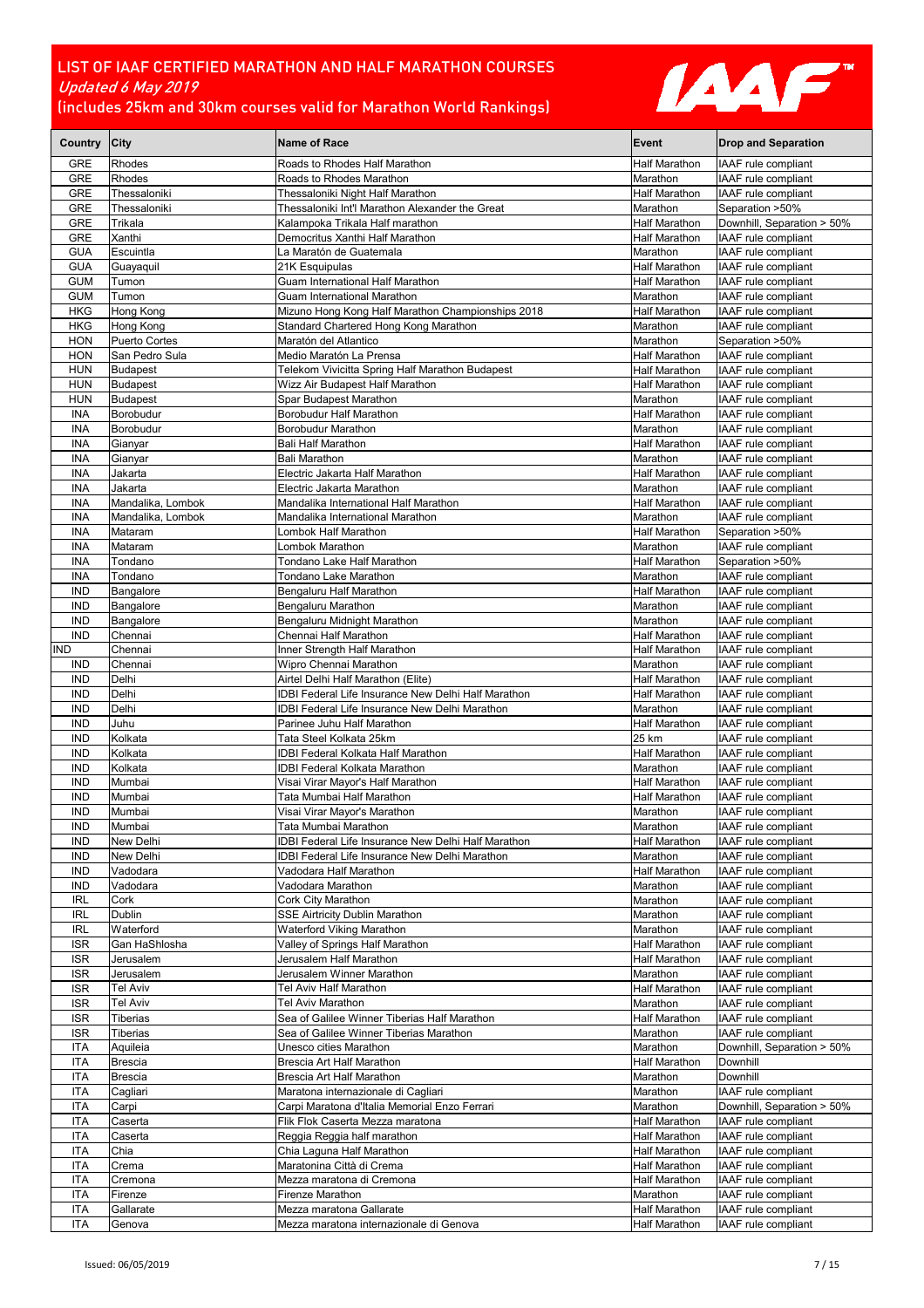

| Country                  | <b>City</b>                     | <b>Name of Race</b>                                                                                   | Event                                 | <b>Drop and Separation</b>                        |
|--------------------------|---------------------------------|-------------------------------------------------------------------------------------------------------|---------------------------------------|---------------------------------------------------|
| <b>GRE</b>               | Rhodes                          | Roads to Rhodes Half Marathon                                                                         | Half Marathon                         | IAAF rule compliant                               |
| <b>GRE</b>               | Rhodes                          | Roads to Rhodes Marathon                                                                              | Marathon                              | IAAF rule compliant                               |
| <b>GRE</b>               | Thessaloniki                    | Thessaloniki Night Half Marathon                                                                      | <b>Half Marathon</b>                  | IAAF rule compliant                               |
| <b>GRE</b>               | Thessaloniki                    | Thessaloniki Int'l Marathon Alexander the Great                                                       | Marathon                              | Separation >50%                                   |
| <b>GRE</b><br><b>GRE</b> | Trikala<br>Xanthi               | Kalampoka Trikala Half marathon<br>Democritus Xanthi Half Marathon                                    | Half Marathon<br><b>Half Marathon</b> | Downhill, Separation > 50%<br>IAAF rule compliant |
| <b>GUA</b>               | Escuintla                       | La Maratón de Guatemala                                                                               | Marathon                              | IAAF rule compliant                               |
| <b>GUA</b>               | Guayaquil                       | 21K Esquipulas                                                                                        | <b>Half Marathon</b>                  | IAAF rule compliant                               |
| <b>GUM</b>               | Tumon                           | Guam International Half Marathon                                                                      | <b>Half Marathon</b>                  | IAAF rule compliant                               |
| <b>GUM</b>               | Tumon                           | Guam International Marathon                                                                           | Marathon                              | IAAF rule compliant                               |
| <b>HKG</b>               | Hong Kong                       | Mizuno Hong Kong Half Marathon Championships 2018                                                     | <b>Half Marathon</b>                  | IAAF rule compliant                               |
| <b>HKG</b>               | Hong Kong                       | Standard Chartered Hong Kong Marathon                                                                 | Marathon                              | IAAF rule compliant                               |
| <b>HON</b><br><b>HON</b> | Puerto Cortes<br>San Pedro Sula | Maratón del Atlantico<br>Medio Maratón La Prensa                                                      | Marathon<br><b>Half Marathon</b>      | Separation >50%<br>IAAF rule compliant            |
| <b>HUN</b>               | <b>Budapest</b>                 | Telekom Vivicitta Spring Half Marathon Budapest                                                       | Half Marathon                         | IAAF rule compliant                               |
| <b>HUN</b>               | <b>Budapest</b>                 | Wizz Air Budapest Half Marathon                                                                       | <b>Half Marathon</b>                  | IAAF rule compliant                               |
| <b>HUN</b>               | <b>Budapest</b>                 | Spar Budapest Marathon                                                                                | Marathon                              | IAAF rule compliant                               |
| <b>INA</b>               | Borobudur                       | Borobudur Half Marathon                                                                               | Half Marathon                         | IAAF rule compliant                               |
| <b>INA</b>               | Borobudur                       | Borobudur Marathon                                                                                    | Marathon                              | IAAF rule compliant                               |
| <b>INA</b>               | Gianyar                         | <b>Bali Half Marathon</b>                                                                             | <b>Half Marathon</b>                  | IAAF rule compliant                               |
| <b>INA</b><br><b>INA</b> | Gianyar<br>Jakarta              | Bali Marathon                                                                                         | Marathon<br><b>Half Marathon</b>      | IAAF rule compliant<br>IAAF rule compliant        |
| <b>INA</b>               | Jakarta                         | Electric Jakarta Half Marathon<br>Electric Jakarta Marathon                                           | Marathon                              | IAAF rule compliant                               |
| <b>INA</b>               | Mandalika, Lombok               | Mandalika International Half Marathon                                                                 | Half Marathon                         | IAAF rule compliant                               |
| <b>INA</b>               | Mandalika, Lombok               | Mandalika International Marathon                                                                      | Marathon                              | IAAF rule compliant                               |
| INA                      | Mataram                         | Lombok Half Marathon                                                                                  | <b>Half Marathon</b>                  | Separation >50%                                   |
| <b>INA</b>               | Mataram                         | Lombok Marathon                                                                                       | Marathon                              | IAAF rule compliant                               |
| <b>INA</b>               | Tondano                         | Tondano Lake Half Marathon                                                                            | <b>Half Marathon</b>                  | Separation >50%                                   |
| <b>INA</b>               | Tondano                         | Tondano Lake Marathon                                                                                 | Marathon                              | IAAF rule compliant                               |
| <b>IND</b><br><b>IND</b> | Bangalore                       | Bengaluru Half Marathon                                                                               | Half Marathon                         | IAAF rule compliant                               |
| <b>IND</b>               | Bangalore<br>Bangalore          | Bengaluru Marathon<br>Bengaluru Midnight Marathon                                                     | Marathon<br>Marathon                  | IAAF rule compliant<br>IAAF rule compliant        |
| <b>IND</b>               | Chennai                         | Chennai Half Marathon                                                                                 | Half Marathon                         | IAAF rule compliant                               |
| <b>IND</b>               | Chennai                         | Inner Strength Half Marathon                                                                          | <b>Half Marathon</b>                  | IAAF rule compliant                               |
| <b>IND</b>               | Chennai                         | Wipro Chennai Marathon                                                                                | Marathon                              | IAAF rule compliant                               |
| <b>IND</b>               | Delhi                           | Airtel Delhi Half Marathon (Elite)                                                                    | <b>Half Marathon</b>                  | IAAF rule compliant                               |
| <b>IND</b>               | Delhi                           | IDBI Federal Life Insurance New Delhi Half Marathon                                                   | <b>Half Marathon</b>                  | IAAF rule compliant                               |
| <b>IND</b>               | Delhi                           | IDBI Federal Life Insurance New Delhi Marathon                                                        | Marathon                              | IAAF rule compliant                               |
| <b>IND</b><br><b>IND</b> | Juhu<br>Kolkata                 | Parinee Juhu Half Marathon<br>Tata Steel Kolkata 25km                                                 | <b>Half Marathon</b><br>25 km         | IAAF rule compliant<br>IAAF rule compliant        |
| <b>IND</b>               | Kolkata                         | IDBI Federal Kolkata Half Marathon                                                                    | <b>Half Marathon</b>                  | IAAF rule compliant                               |
| <b>IND</b>               | Kolkata                         | <b>IDBI Federal Kolkata Marathon</b>                                                                  | Marathon                              | IAAF rule compliant                               |
| <b>IND</b>               | Mumbai                          | Visai Virar Mayor's Half Marathon                                                                     | Half Marathon                         | IAAF rule compliant                               |
| <b>IND</b>               | Mumbai                          | Tata Mumbai Half Marathon                                                                             | Half Marathon                         | IAAF rule compliant                               |
| <b>IND</b>               | Mumbai                          | Visai Virar Mayor's Marathon                                                                          | Marathon                              | IAAF rule compliant                               |
| <b>IND</b>               | Mumbai                          | Tata Mumbai Marathon                                                                                  | Marathon                              | IAAF rule compliant                               |
| <b>IND</b><br><b>IND</b> | New Delhi<br>New Delhi          | IDBI Federal Life Insurance New Delhi Half Marathon<br>IDBI Federal Life Insurance New Delhi Marathon | Half Marathon<br>Marathon             | IAAF rule compliant<br>IAAF rule compliant        |
| <b>IND</b>               | Vadodara                        | Vadodara Half Marathon                                                                                | Half Marathon                         | IAAF rule compliant                               |
| <b>IND</b>               | Vadodara                        | Vadodara Marathon                                                                                     | Marathon                              | IAAF rule compliant                               |
| <b>IRL</b>               | Cork                            | Cork City Marathon                                                                                    | Marathon                              | IAAF rule compliant                               |
| IRL                      | Dublin                          | <b>SSE Airtricity Dublin Marathon</b>                                                                 | Marathon                              | IAAF rule compliant                               |
| <b>IRL</b>               | Waterford                       | Waterford Viking Marathon                                                                             | Marathon                              | IAAF rule compliant                               |
| <b>ISR</b>               | Gan HaShlosha                   | Valley of Springs Half Marathon                                                                       | <b>Half Marathon</b>                  | IAAF rule compliant                               |
| <b>ISR</b><br><b>ISR</b> | Jerusalem<br>Jerusalem          | Jerusalem Half Marathon<br>Jerusalem Winner Marathon                                                  | Half Marathon<br>Marathon             | IAAF rule compliant<br>IAAF rule compliant        |
| <b>ISR</b>               | Tel Aviv                        | Tel Aviv Half Marathon                                                                                | Half Marathon                         | IAAF rule compliant                               |
| <b>ISR</b>               | Tel Aviv                        | Tel Aviv Marathon                                                                                     | Marathon                              | IAAF rule compliant                               |
| <b>ISR</b>               | Tiberias                        | Sea of Galilee Winner Tiberias Half Marathon                                                          | <b>Half Marathon</b>                  | IAAF rule compliant                               |
| <b>ISR</b>               | Tiberias                        | Sea of Galilee Winner Tiberias Marathon                                                               | Marathon                              | IAAF rule compliant                               |
| <b>ITA</b>               | Aquileia                        | Unesco cities Marathon                                                                                | Marathon                              | Downhill, Separation > 50%                        |
| ITA                      | <b>Brescia</b>                  | Brescia Art Half Marathon                                                                             | <b>Half Marathon</b>                  | Downhill                                          |
| <b>ITA</b>               | <b>Brescia</b>                  | Brescia Art Half Marathon                                                                             | Marathon                              | Downhill                                          |
| <b>ITA</b><br><b>ITA</b> | Cagliari<br>Carpi               | Maratona internazionale di Cagliari<br>Carpi Maratona d'Italia Memorial Enzo Ferrari                  | Marathon<br>Marathon                  | IAAF rule compliant<br>Downhill, Separation > 50% |
| <b>ITA</b>               | Caserta                         | Flik Flok Caserta Mezza maratona                                                                      | Half Marathon                         | IAAF rule compliant                               |
| <b>ITA</b>               | Caserta                         | Reggia Reggia half marathon                                                                           | Half Marathon                         | IAAF rule compliant                               |
| <b>ITA</b>               | Chia                            | Chia Laguna Half Marathon                                                                             | Half Marathon                         | IAAF rule compliant                               |
| <b>ITA</b>               | Crema                           | Maratonina Città di Crema                                                                             | Half Marathon                         | IAAF rule compliant                               |
| <b>ITA</b>               | Cremona                         | Mezza maratona di Cremona                                                                             | Half Marathon                         | IAAF rule compliant                               |
| <b>ITA</b>               | Firenze                         | Firenze Marathon                                                                                      | Marathon                              | IAAF rule compliant                               |
| <b>ITA</b><br><b>ITA</b> | Gallarate<br>Genova             | Mezza maratona Gallarate<br>Mezza maratona internazionale di Genova                                   | Half Marathon<br>Half Marathon        | IAAF rule compliant<br>IAAF rule compliant        |
|                          |                                 |                                                                                                       |                                       |                                                   |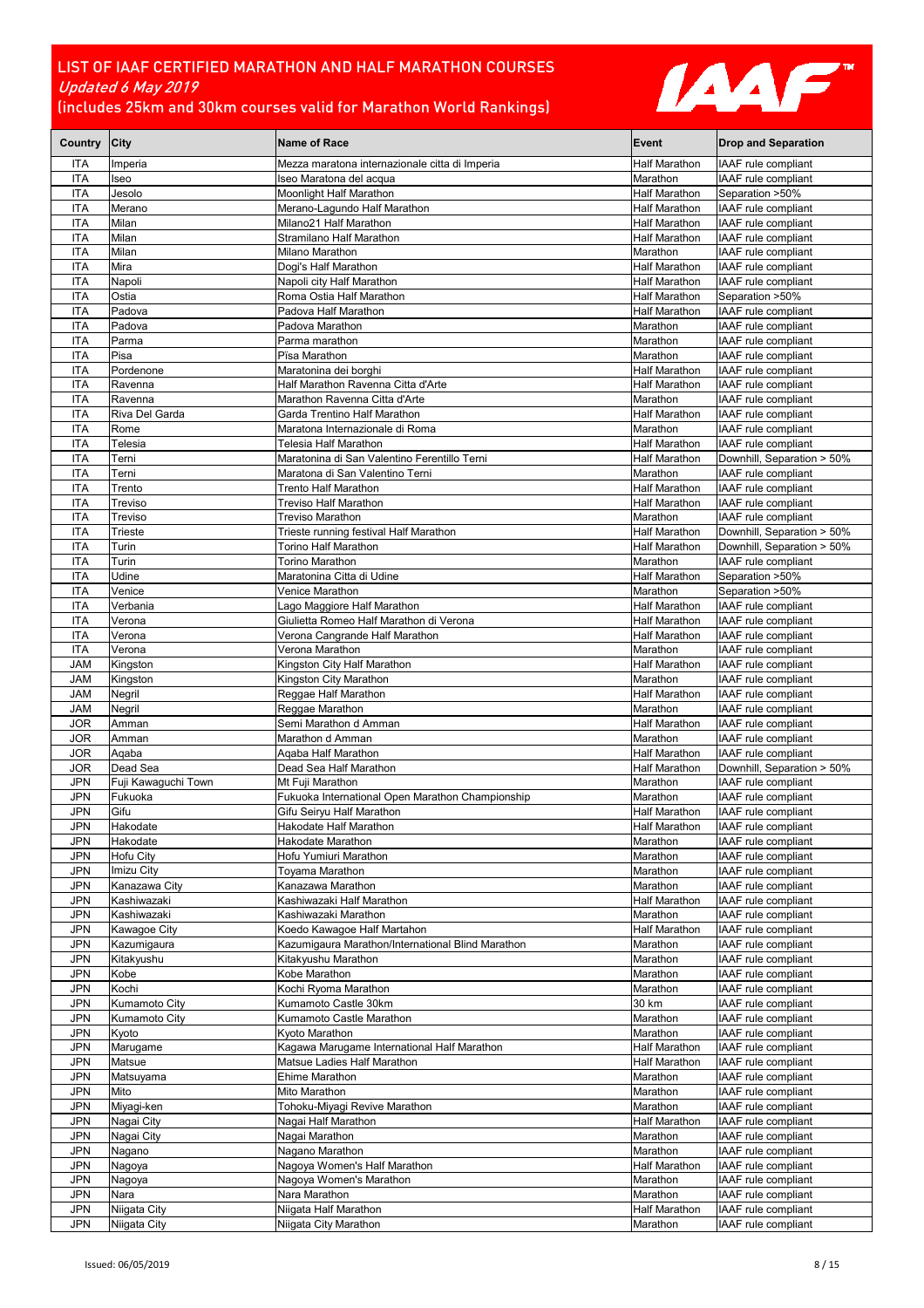

| Country City             |                                | <b>Name of Race</b>                                                 | Event                            | <b>Drop and Separation</b>                        |
|--------------------------|--------------------------------|---------------------------------------------------------------------|----------------------------------|---------------------------------------------------|
| <b>ITA</b>               | Imperia                        | Mezza maratona internazionale citta di Imperia                      | <b>Half Marathon</b>             | IAAF rule compliant                               |
| ITA                      | Iseo                           | Iseo Maratona del acqua                                             | Marathon                         | IAAF rule compliant                               |
| <b>ITA</b>               | Jesolo                         | Moonlight Half Marathon                                             | Half Marathon                    | Separation >50%                                   |
| <b>ITA</b>               | Merano                         | Merano-Lagundo Half Marathon                                        | Half Marathon                    | IAAF rule compliant                               |
| <b>ITA</b>               | Milan                          | Milano21 Half Marathon                                              | Half Marathon                    | IAAF rule compliant                               |
| ITA<br><b>ITA</b>        | Milan<br>Milan                 | Stramilano Half Marathon<br>Milano Marathon                         | Half Marathon<br>Marathon        | IAAF rule compliant<br>IAAF rule compliant        |
| <b>ITA</b>               | Mira                           | Dogi's Half Marathon                                                | Half Marathon                    | IAAF rule compliant                               |
| <b>ITA</b>               | Napoli                         | Napoli city Half Marathon                                           | Half Marathon                    | IAAF rule compliant                               |
| <b>ITA</b>               | Ostia                          | Roma Ostia Half Marathon                                            | Half Marathon                    | Separation >50%                                   |
| <b>ITA</b>               | Padova                         | Padova Half Marathon                                                | Half Marathon                    | IAAF rule compliant                               |
| <b>ITA</b>               | Padova                         | Padova Marathon                                                     | Marathon                         | IAAF rule compliant                               |
| <b>ITA</b>               | Parma                          | Parma marathon                                                      | Marathon                         | IAAF rule compliant                               |
| <b>ITA</b>               | Pisa                           | Pïsa Marathon                                                       | Marathon                         | IAAF rule compliant                               |
| <b>ITA</b>               | Pordenone                      | Maratonina dei borghi                                               | Half Marathon                    | IAAF rule compliant                               |
| <b>ITA</b><br><b>ITA</b> | Ravenna<br>Ravenna             | Half Marathon Ravenna Citta d'Arte<br>Marathon Ravenna Citta d'Arte | <b>Half Marathon</b><br>Marathon | IAAF rule compliant<br>IAAF rule compliant        |
| ITA                      | Riva Del Garda                 | Garda Trentino Half Marathon                                        | Half Marathon                    | IAAF rule compliant                               |
| <b>ITA</b>               | Rome                           | Maratona Internazionale di Roma                                     | Marathon                         | IAAF rule compliant                               |
| <b>ITA</b>               | Telesia                        | Telesia Half Marathon                                               | Half Marathon                    | IAAF rule compliant                               |
| <b>ITA</b>               | Terni                          | Maratonina di San Valentino Ferentillo Terni                        | Half Marathon                    | Downhill, Separation > 50%                        |
| <b>ITA</b>               | Terni                          | Maratona di San Valentino Terni                                     | Marathon                         | IAAF rule compliant                               |
| <b>ITA</b>               | Trento                         | Trento Half Marathon                                                | Half Marathon                    | IAAF rule compliant                               |
| ITA                      | Treviso                        | Treviso Half Marathon                                               | Half Marathon                    | IAAF rule compliant                               |
| ITA                      | Treviso                        | Treviso Marathon                                                    | Marathon                         | IAAF rule compliant                               |
| <b>ITA</b>               | Trieste                        | Trieste running festival Half Marathon                              | <b>Half Marathon</b>             | Downhill, Separation > 50%                        |
| <b>ITA</b>               | Turin<br>Turin                 | Torino Half Marathon                                                | Half Marathon<br>Marathon        | Downhill, Separation > 50%<br>IAAF rule compliant |
| <b>ITA</b><br><b>ITA</b> | Udine                          | Torino Marathon<br>Maratonina Citta di Udine                        | Half Marathon                    | Separation >50%                                   |
| ITA                      | Venice                         | Venice Marathon                                                     | Marathon                         | Separation >50%                                   |
| ITA                      | Verbania                       | Lago Maggiore Half Marathon                                         | Half Marathon                    | IAAF rule compliant                               |
| <b>ITA</b>               | Verona                         | Giulietta Romeo Half Marathon di Verona                             | <b>Half Marathon</b>             | IAAF rule compliant                               |
| <b>ITA</b>               | Verona                         | Verona Cangrande Half Marathon                                      | Half Marathon                    | IAAF rule compliant                               |
| <b>ITA</b>               | Verona                         | Verona Marathon                                                     | Marathon                         | IAAF rule compliant                               |
| JAM                      | Kingston                       | Kingston City Half Marathon                                         | Half Marathon                    | IAAF rule compliant                               |
| <b>JAM</b>               | Kingston                       | Kingston City Marathon                                              | Marathon                         | IAAF rule compliant                               |
| <b>JAM</b>               | Negril                         | Reggae Half Marathon                                                | Half Marathon                    | IAAF rule compliant                               |
| <b>JAM</b><br><b>JOR</b> | Negril<br>Amman                | Reggae Marathon<br>Semi Marathon d Amman                            | Marathon<br>Half Marathon        | IAAF rule compliant<br>IAAF rule compliant        |
| <b>JOR</b>               | Amman                          | Marathon d Amman                                                    | Marathon                         | IAAF rule compliant                               |
| <b>JOR</b>               | Aqaba                          | Agaba Half Marathon                                                 | Half Marathon                    | IAAF rule compliant                               |
| <b>JOR</b>               | Dead Sea                       | Dead Sea Half Marathon                                              | Half Marathon                    | Downhill, Separation > 50%                        |
| <b>JPN</b>               | Fuji Kawaguchi Town            | Mt Fuji Marathon                                                    | Marathon                         | IAAF rule compliant                               |
| <b>JPN</b>               | Fukuoka                        | Fukuoka International Open Marathon Championship                    | Marathon                         | IAAF rule compliant                               |
| <b>JPN</b>               | Gifu                           | Gifu Seiryu Half Marathon                                           | Half Marathon                    | IAAF rule compliant                               |
| <b>JPN</b>               | Hakodate                       | Hakodate Half Marathon                                              | <b>Half Marathon</b>             | IAAF rule compliant                               |
| JPN                      | Hakodate                       | Hakodate Marathon                                                   | Marathon                         | IAAF rule compliant                               |
| JPN<br>JPN               | Hofu City<br>Imizu City        | Hofu Yumiuri Marathon<br>Toyama Marathon                            | Marathon<br>Marathon             | IAAF rule compliant<br>IAAF rule compliant        |
| JPN                      | Kanazawa City                  | Kanazawa Marathon                                                   | Marathon                         | IAAF rule compliant                               |
| <b>JPN</b>               | Kashiwazaki                    | Kashiwazaki Half Marathon                                           | <b>Half Marathon</b>             | IAAF rule compliant                               |
| <b>JPN</b>               | Kashiwazaki                    | Kashiwazaki Marathon                                                | Marathon                         | IAAF rule compliant                               |
| <b>JPN</b>               | Kawagoe City                   | Koedo Kawagoe Half Martahon                                         | Half Marathon                    | IAAF rule compliant                               |
| JPN                      | Kazumigaura                    | Kazumigaura Marathon/International Blind Marathon                   | Marathon                         | IAAF rule compliant                               |
| JPN                      | Kitakyushu                     | Kitakyushu Marathon                                                 | Marathon                         | IAAF rule compliant                               |
| JPN                      | Kobe                           | Kobe Marathon                                                       | Marathon                         | IAAF rule compliant                               |
| <b>JPN</b>               | Kochi                          | Kochi Ryoma Marathon                                                | Marathon                         | IAAF rule compliant                               |
| <b>JPN</b><br>JPN        | Kumamoto City<br>Kumamoto City | Kumamoto Castle 30km<br>Kumamoto Castle Marathon                    | 30 km<br>Marathon                | IAAF rule compliant<br>IAAF rule compliant        |
| <b>JPN</b>               | Kyoto                          | Kyoto Marathon                                                      | Marathon                         | IAAF rule compliant                               |
| JPN                      | Marugame                       | Kagawa Marugame International Half Marathon                         | <b>Half Marathon</b>             | IAAF rule compliant                               |
| <b>JPN</b>               | Matsue                         | Matsue Ladies Half Marathon                                         | Half Marathon                    | IAAF rule compliant                               |
| <b>JPN</b>               | Matsuyama                      | Ehime Marathon                                                      | Marathon                         | IAAF rule compliant                               |
| <b>JPN</b>               | Mito                           | Mito Marathon                                                       | Marathon                         | IAAF rule compliant                               |
| <b>JPN</b>               | Miyagi-ken                     | Tohoku-Miyagi Revive Marathon                                       | Marathon                         | IAAF rule compliant                               |
| JPN                      | Nagai City                     | Nagai Half Marathon                                                 | Half Marathon                    | IAAF rule compliant                               |
| <b>JPN</b>               | Nagai City                     | Nagai Marathon                                                      | Marathon                         | IAAF rule compliant                               |
| <b>JPN</b><br><b>JPN</b> | Nagano                         | Nagano Marathon<br>Nagoya Women's Half Marathon                     | Marathon<br>Half Marathon        | IAAF rule compliant<br>IAAF rule compliant        |
| <b>JPN</b>               | Nagoya<br>Nagoya               | Nagoya Women's Marathon                                             | Marathon                         | IAAF rule compliant                               |
| <b>JPN</b>               | Nara                           | Nara Marathon                                                       | Marathon                         | IAAF rule compliant                               |
| <b>JPN</b>               | Niigata City                   | Niigata Half Marathon                                               | <b>Half Marathon</b>             | IAAF rule compliant                               |
| JPN                      | Niigata City                   | Niigata City Marathon                                               | Marathon                         | IAAF rule compliant                               |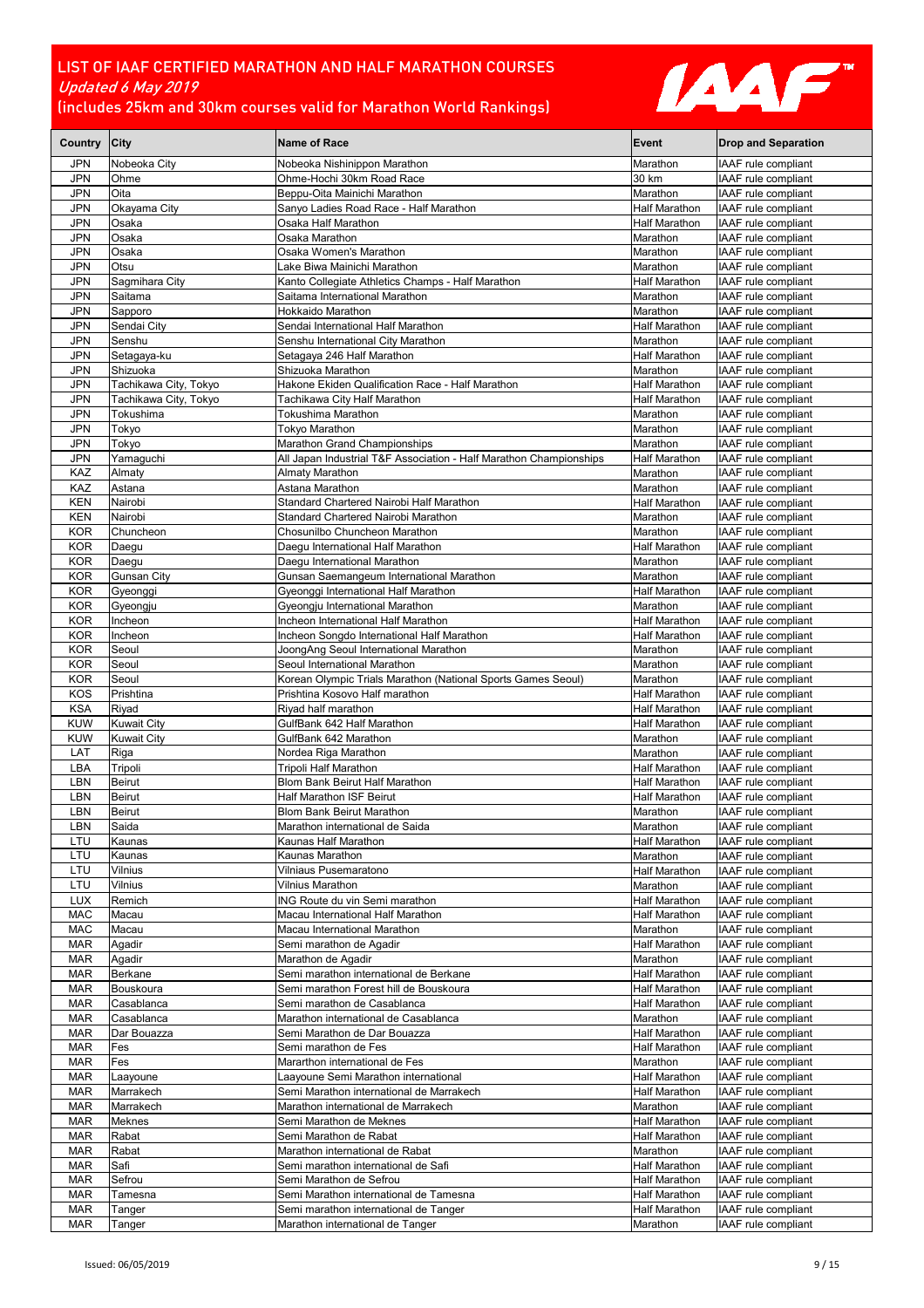

| Country                  | <b>City</b>             | <b>Name of Race</b>                                                                          | Event                          | <b>Drop and Separation</b>                 |
|--------------------------|-------------------------|----------------------------------------------------------------------------------------------|--------------------------------|--------------------------------------------|
| <b>JPN</b>               | Nobeoka City            | Nobeoka Nishinippon Marathon                                                                 | Marathon                       | IAAF rule compliant                        |
| <b>JPN</b>               | Ohme                    | Ohme-Hochi 30km Road Race                                                                    | 30 km                          | IAAF rule compliant                        |
| <b>JPN</b>               | Oita                    | Beppu-Oita Mainichi Marathon                                                                 | Marathon                       | IAAF rule compliant                        |
| <b>JPN</b>               | Okayama City            | Sanyo Ladies Road Race - Half Marathon                                                       | Half Marathon                  | IAAF rule compliant                        |
| <b>JPN</b>               | Osaka                   | Osaka Half Marathon                                                                          | Half Marathon                  | IAAF rule compliant                        |
| <b>JPN</b>               | Osaka                   | Osaka Marathon                                                                               | Marathon                       | IAAF rule compliant                        |
| JPN                      | Osaka                   | Osaka Women's Marathon                                                                       | Marathon                       | IAAF rule compliant                        |
| <b>JPN</b>               | Otsu                    | Lake Biwa Mainichi Marathon                                                                  | Marathon                       | IAAF rule compliant                        |
| JPN                      | Sagmihara City          | Kanto Collegiate Athletics Champs - Half Marathon                                            | Half Marathon                  | IAAF rule compliant                        |
| <b>JPN</b>               | Saitama                 | Saitama International Marathon                                                               | Marathon                       | IAAF rule compliant                        |
| <b>JPN</b>               | Sapporo                 | Hokkaido Marathon                                                                            | Marathon                       | IAAF rule compliant                        |
| JPN                      | Sendai City<br>Senshu   | Sendai International Half Marathon                                                           | Half Marathon<br>Marathon      | IAAF rule compliant                        |
| <b>JPN</b><br><b>JPN</b> | Setagaya-ku             | Senshu International City Marathon                                                           | Half Marathon                  | IAAF rule compliant<br>IAAF rule compliant |
| <b>JPN</b>               | Shizuoka                | Setagaya 246 Half Marathon<br>Shizuoka Marathon                                              | Marathon                       | IAAF rule compliant                        |
| JPN                      | Tachikawa City, Tokyo   | Hakone Ekiden Qualification Race - Half Marathon                                             | Half Marathon                  | IAAF rule compliant                        |
| <b>JPN</b>               | Tachikawa City, Tokyo   | Tachikawa City Half Marathon                                                                 | Half Marathon                  | IAAF rule compliant                        |
| <b>JPN</b>               | Tokushima               | Tokushima Marathon                                                                           | Marathon                       | IAAF rule compliant                        |
| JPN                      | Tokyo                   | Tokyo Marathon                                                                               | Marathon                       | IAAF rule compliant                        |
| <b>JPN</b>               | Tokyo                   | Marathon Grand Championships                                                                 | Marathon                       | IAAF rule compliant                        |
| JPN                      | Yamaguchi               | All Japan Industrial T&F Association - Half Marathon Championships                           | Half Marathon                  | IAAF rule compliant                        |
| KAZ                      | Almaty                  | Almaty Marathon                                                                              | Marathon                       | IAAF rule compliant                        |
| KAZ                      | Astana                  | Astana Marathon                                                                              | Marathon                       | IAAF rule compliant                        |
| <b>KEN</b>               | Nairobi                 | Standard Chartered Nairobi Half Marathon                                                     | Half Marathon                  | IAAF rule compliant                        |
| KEN                      | Nairobi                 | Standard Chartered Nairobi Marathon                                                          | Marathon                       | IAAF rule compliant                        |
| <b>KOR</b>               | Chuncheon               | Chosunilbo Chuncheon Marathon                                                                | Marathon                       | IAAF rule compliant                        |
| <b>KOR</b>               | Daegu                   | Daegu International Half Marathon                                                            | <b>Half Marathon</b>           | IAAF rule compliant                        |
| <b>KOR</b>               | Daegu                   | Daegu International Marathon                                                                 | Marathon                       | IAAF rule compliant                        |
| <b>KOR</b>               | <b>Gunsan City</b>      | Gunsan Saemangeum International Marathon                                                     | Marathon                       | IAAF rule compliant                        |
| <b>KOR</b>               | Gyeonggi                | Gyeonggi International Half Marathon                                                         | Half Marathon                  | IAAF rule compliant                        |
| <b>KOR</b>               | Gyeongju                | Gyeongju International Marathon                                                              | Marathon                       | IAAF rule compliant                        |
| <b>KOR</b>               | Incheon                 | Incheon International Half Marathon                                                          | Half Marathon                  | IAAF rule compliant                        |
| <b>KOR</b>               | Incheon                 | Incheon Songdo International Half Marathon                                                   | Half Marathon                  | IAAF rule compliant                        |
| <b>KOR</b>               | Seoul                   | JoongAng Seoul International Marathon                                                        | Marathon                       | IAAF rule compliant                        |
| <b>KOR</b><br><b>KOR</b> | Seoul<br>Seoul          | Seoul International Marathon<br>Korean Olympic Trials Marathon (National Sports Games Seoul) | Marathon<br>Marathon           | IAAF rule compliant<br>IAAF rule compliant |
| <b>KOS</b>               | Prishtina               | Prishtina Kosovo Half marathon                                                               | Half Marathon                  | IAAF rule compliant                        |
| <b>KSA</b>               | Riyad                   | Riyad half marathon                                                                          | Half Marathon                  | IAAF rule compliant                        |
| <b>KUW</b>               | <b>Kuwait City</b>      | GulfBank 642 Half Marathon                                                                   | <b>Half Marathon</b>           | IAAF rule compliant                        |
| <b>KUW</b>               | <b>Kuwait City</b>      | GulfBank 642 Marathon                                                                        | Marathon                       | IAAF rule compliant                        |
| LAT                      | Riga                    | Nordea Riga Marathon                                                                         | Marathon                       | IAAF rule compliant                        |
| LBA                      | Tripoli                 | Tripoli Half Marathon                                                                        | Half Marathon                  | IAAF rule compliant                        |
| LBN                      | <b>Beirut</b>           | Blom Bank Beirut Half Marathon                                                               | Half Marathon                  | IAAF rule compliant                        |
| LBN                      | Beirut                  | Half Marathon ISF Beirut                                                                     | Half Marathon                  | IAAF rule compliant                        |
| LBN                      | <b>Beirut</b>           | <b>Blom Bank Beirut Marathon</b>                                                             | Marathon                       | IAAF rule compliant                        |
| LBN                      | Saida                   | Marathon international de Saida                                                              | Marathon                       | IAAF rule compliant                        |
| LTU                      | Kaunas                  | Kaunas Half Marathon                                                                         | <b>Half Marathon</b>           | IAAF rule compliant                        |
| LTU                      | Kaunas                  | Kaunas Marathon                                                                              | Marathon                       | IAAF rule compliant                        |
| LTU                      | Vilnius                 | Vilniaus Pusemaratono                                                                        | Half Marathon                  | IAAF rule compliant                        |
| LTU                      | Vilnius                 | Vilnius Marathon                                                                             | Marathon                       | IAAF rule compliant                        |
| <b>LUX</b>               | Remich                  | <b>ING Route du vin Semi marathon</b>                                                        | Half Marathon                  | IAAF rule compliant                        |
| MAC                      | Macau                   | Macau International Half Marathon                                                            | Half Marathon                  | IAAF rule compliant                        |
| <b>MAC</b>               | Macau                   | Macau International Marathon                                                                 | Marathon                       | IAAF rule compliant                        |
| <b>MAR</b>               | Agadir                  | Semi marathon de Agadir                                                                      | Half Marathon                  | IAAF rule compliant                        |
| <b>MAR</b>               | Agadir                  | Marathon de Agadir                                                                           | Marathon                       | IAAF rule compliant                        |
| <b>MAR</b>               | Berkane                 | Semi marathon international de Berkane                                                       | Half Marathon                  | IAAF rule compliant<br>IAAF rule compliant |
| <b>MAR</b><br><b>MAR</b> | Bouskoura<br>Casablanca | Semi marathon Forest hill de Bouskoura<br>Semi marathon de Casablanca                        | Half Marathon<br>Half Marathon | IAAF rule compliant                        |
| <b>MAR</b>               | Casablanca              | Marathon international de Casablanca                                                         | Marathon                       | IAAF rule compliant                        |
| <b>MAR</b>               | Dar Bouazza             | Semi Marathon de Dar Bouazza                                                                 | Half Marathon                  | IAAF rule compliant                        |
| <b>MAR</b>               | Fes                     | Semi marathon de Fes                                                                         | Half Marathon                  | IAAF rule compliant                        |
| <b>MAR</b>               | Fes                     | Mararthon international de Fes                                                               | Marathon                       | IAAF rule compliant                        |
| <b>MAR</b>               | Laayoune                | Laayoune Semi Marathon international                                                         | Half Marathon                  | IAAF rule compliant                        |
| <b>MAR</b>               | Marrakech               | Semi Marathon international de Marrakech                                                     | Half Marathon                  | IAAF rule compliant                        |
| <b>MAR</b>               | Marrakech               | Marathon international de Marrakech                                                          | Marathon                       | IAAF rule compliant                        |
| <b>MAR</b>               | Meknes                  | Semi Marathon de Meknes                                                                      | Half Marathon                  | IAAF rule compliant                        |
| <b>MAR</b>               | Rabat                   | Semi Marathon de Rabat                                                                       | Half Marathon                  | IAAF rule compliant                        |
| <b>MAR</b>               | Rabat                   | Marathon international de Rabat                                                              | Marathon                       | IAAF rule compliant                        |
| <b>MAR</b>               | Safi                    | Semi marathon international de Safi                                                          | Half Marathon                  | IAAF rule compliant                        |
| <b>MAR</b>               | Sefrou                  | Semi Marathon de Sefrou                                                                      | Half Marathon                  | IAAF rule compliant                        |
| <b>MAR</b>               | Tamesna                 | Semi Marathon international de Tamesna                                                       | Half Marathon                  | IAAF rule compliant                        |
| <b>MAR</b>               | Tanger                  | Semi marathon international de Tanger                                                        | Half Marathon                  | IAAF rule compliant                        |
| <b>MAR</b>               | Tanger                  | Marathon international de Tanger                                                             | Marathon                       | IAAF rule compliant                        |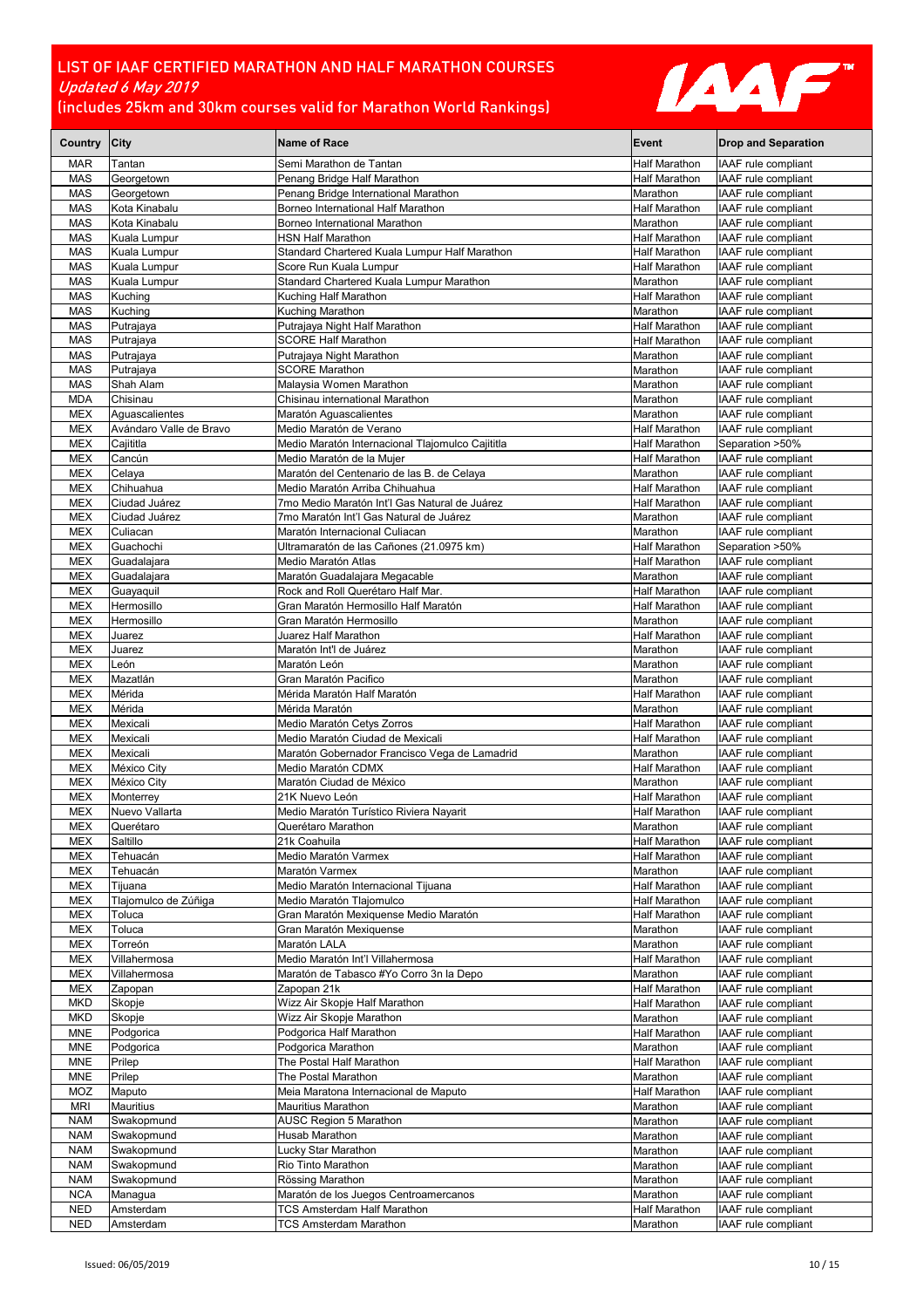

| Country                  | <b>City</b>                   | Name of Race                                                                    | Event                                        | <b>Drop and Separation</b>                        |
|--------------------------|-------------------------------|---------------------------------------------------------------------------------|----------------------------------------------|---------------------------------------------------|
| <b>MAR</b>               | Tantan                        | Semi Marathon de Tantan                                                         | Half Marathon                                | IAAF rule compliant                               |
| <b>MAS</b>               | Georgetown                    | Penang Bridge Half Marathon                                                     | <b>Half Marathon</b>                         | IAAF rule compliant                               |
| <b>MAS</b>               | Georgetown                    | Penang Bridge International Marathon                                            | Marathon                                     | IAAF rule compliant                               |
| MAS                      | Kota Kinabalu                 | Borneo International Half Marathon                                              | Half Marathon                                | IAAF rule compliant                               |
| <b>MAS</b><br><b>MAS</b> | Kota Kinabalu<br>Kuala Lumpur | Borneo International Marathon<br><b>HSN Half Marathon</b>                       | Marathon<br>Half Marathon                    | IAAF rule compliant<br>IAAF rule compliant        |
| MAS                      | Kuala Lumpur                  | Standard Chartered Kuala Lumpur Half Marathon                                   | <b>Half Marathon</b>                         | IAAF rule compliant                               |
| <b>MAS</b>               | Kuala Lumpur                  | Score Run Kuala Lumpur                                                          | <b>Half Marathon</b>                         | IAAF rule compliant                               |
| <b>MAS</b>               | Kuala Lumpur                  | Standard Chartered Kuala Lumpur Marathon                                        | Marathon                                     | IAAF rule compliant                               |
| MAS                      | Kuching                       | Kuching Half Marathon                                                           | <b>Half Marathon</b>                         | IAAF rule compliant                               |
| <b>MAS</b>               | Kuching                       | Kuching Marathon                                                                | Marathon                                     | IAAF rule compliant                               |
| <b>MAS</b>               | Putrajaya                     | Putrajaya Night Half Marathon                                                   | <b>Half Marathon</b>                         | IAAF rule compliant                               |
| <b>MAS</b>               | Putrajaya                     | <b>SCORE Half Marathon</b>                                                      | <b>Half Marathon</b>                         | IAAF rule compliant                               |
| MAS<br><b>MAS</b>        | Putrajaya<br>Putrajaya        | Putrajaya Night Marathon<br><b>SCORE Marathon</b>                               | Marathon<br>Marathon                         | IAAF rule compliant<br>IAAF rule compliant        |
| MAS                      | Shah Alam                     | Malaysia Women Marathon                                                         | Marathon                                     | IAAF rule compliant                               |
| <b>MDA</b>               | Chisinau                      | Chisinau international Marathon                                                 | Marathon                                     | IAAF rule compliant                               |
| <b>MEX</b>               | Aquascalientes                | Maratón Aguascalientes                                                          | Marathon                                     | IAAF rule compliant                               |
| <b>MEX</b>               | Avándaro Valle de Bravo       | Medio Maratón de Verano                                                         | Half Marathon                                | IAAF rule compliant                               |
| MEX                      | Cajititla                     | Medio Maratón Internacional Tlajomulco Cajititla                                | <b>Half Marathon</b>                         | Separation >50%                                   |
| <b>MEX</b>               | Cancún                        | Medio Maratón de la Mujer                                                       | <b>Half Marathon</b>                         | IAAF rule compliant                               |
| <b>MEX</b>               | Celaya                        | Maratón del Centenario de las B. de Celaya                                      | Marathon<br><b>Half Marathon</b>             | IAAF rule compliant<br><b>IAAF</b> rule compliant |
| MEX<br><b>MEX</b>        | Chihuahua<br>Ciudad Juárez    | Medio Maratón Arriba Chihuahua<br>7mo Medio Maratón Int'l Gas Natural de Juárez | <b>Half Marathon</b>                         | IAAF rule compliant                               |
| <b>MEX</b>               | Ciudad Juárez                 | 7mo Maratón Int'l Gas Natural de Juárez                                         | Marathon                                     | IAAF rule compliant                               |
| <b>MEX</b>               | Culiacan                      | Maratón Internacional Culiacan                                                  | Marathon                                     | IAAF rule compliant                               |
| <b>MEX</b>               | Guachochi                     | Ultramaratón de las Cañones (21.0975 km)                                        | <b>Half Marathon</b>                         | Separation >50%                                   |
| MEX                      | Guadalajara                   | Medio Maratón Atlas                                                             | Half Marathon                                | IAAF rule compliant                               |
| MEX                      | Guadalajara                   | Maratón Guadalajara Megacable                                                   | Marathon                                     | IAAF rule compliant                               |
| <b>MEX</b>               | Guayaquil                     | Rock and Roll Querétaro Half Mar.                                               | <b>Half Marathon</b>                         | IAAF rule compliant                               |
| <b>MEX</b><br>MEX        | Hermosillo<br>Hermosillo      | Gran Maratón Hermosillo Half Maratón<br>Gran Maratón Hermosillo                 | <b>Half Marathon</b><br>Marathon             | IAAF rule compliant<br>IAAF rule compliant        |
| <b>MEX</b>               | Juarez                        | Juarez Half Marathon                                                            | Half Marathon                                | IAAF rule compliant                               |
| <b>MEX</b>               | Juarez                        | Maratón Int'l de Juárez                                                         | Marathon                                     | IAAF rule compliant                               |
| <b>MEX</b>               | León                          | Maratón León                                                                    | Marathon                                     | IAAF rule compliant                               |
| <b>MEX</b>               | Mazatlán                      | Gran Maratón Pacifico                                                           | Marathon                                     | IAAF rule compliant                               |
| <b>MEX</b>               | Mérida                        | Mérida Maratón Half Maratón                                                     | <b>Half Marathon</b>                         | IAAF rule compliant                               |
| MEX                      | Mérida                        | Mérida Maratón                                                                  | Marathon                                     | IAAF rule compliant                               |
| <b>MEX</b>               | Mexicali<br>Mexicali          | Medio Maratón Cetys Zorros<br>Medio Maratón Ciudad de Mexicali                  | <b>Half Marathon</b>                         | IAAF rule compliant<br>IAAF rule compliant        |
| MEX<br><b>MEX</b>        | Mexicali                      | Maratón Gobernador Francisco Vega de Lamadrid                                   | <b>Half Marathon</b><br>Marathon             | IAAF rule compliant                               |
| MEX                      | México City                   | Medio Maratón CDMX                                                              | <b>Half Marathon</b>                         | IAAF rule compliant                               |
| MEX                      | México City                   | Maratón Ciudad de México                                                        | Marathon                                     | IAAF rule compliant                               |
| <b>MEX</b>               | Monterrey                     | 21K Nuevo León                                                                  | Half Marathon                                | IAAF rule compliant                               |
| <b>MEX</b>               | Nuevo Vallarta                | Medio Maratón Turístico Riviera Nayarit                                         | Half Marathon                                | IAAF rule compliant                               |
| <b>MEX</b>               | Querétaro                     | Querétaro Marathon                                                              | Marathon                                     | IAAF rule compliant                               |
| MEX<br>MEX               | Saltillo<br>Tehuacán          | 21k Coahuila<br>Medio Maratón Varmex                                            | <b>Half Marathon</b><br><b>Half Marathon</b> | IAAF rule compliant<br>IAAF rule compliant        |
| MEX                      | Tehuacán                      | Maratón Varmex                                                                  | Marathon                                     | IAAF rule compliant                               |
| MEX                      | Tijuana                       | Medio Maratón Internacional Tijuana                                             | Half Marathon                                | IAAF rule compliant                               |
| MEX                      | Tlajomulco de Zúñiga          | Medio Maratón Tlajomulco                                                        | Half Marathon                                | IAAF rule compliant                               |
| <b>MEX</b>               | Toluca                        | Gran Maratón Mexiquense Medio Maratón                                           | Half Marathon                                | IAAF rule compliant                               |
| <b>MEX</b>               | Toluca                        | Gran Maratón Mexiquense                                                         | Marathon                                     | IAAF rule compliant                               |
| MEX                      | Torreón                       | Maratón LALA                                                                    | Marathon                                     | IAAF rule compliant                               |
| MEX<br>MEX               | Villahermosa<br>Villahermosa  | Medio Maratón Int'l Villahermosa<br>Maratón de Tabasco #Yo Corro 3n la Depo     | <b>Half Marathon</b><br>Marathon             | IAAF rule compliant<br>IAAF rule compliant        |
| MEX                      | Zapopan                       | Zapopan 21k                                                                     | Half Marathon                                | IAAF rule compliant                               |
| <b>MKD</b>               | Skopje                        | Wizz Air Skopje Half Marathon                                                   | Half Marathon                                | IAAF rule compliant                               |
| <b>MKD</b>               | Skopje                        | Wizz Air Skopje Marathon                                                        | Marathon                                     | IAAF rule compliant                               |
| <b>MNE</b>               | Podgorica                     | Podgorica Half Marathon                                                         | Half Marathon                                | IAAF rule compliant                               |
| <b>MNE</b>               | Podgorica                     | Podgorica Marathon                                                              | Marathon                                     | IAAF rule compliant                               |
| <b>MNE</b>               | Prilep                        | The Postal Half Marathon                                                        | Half Marathon                                | IAAF rule compliant                               |
| <b>MNE</b>               | Prilep                        | The Postal Marathon<br>Meia Maratona Internacional de Maputo                    | Marathon                                     | IAAF rule compliant<br>IAAF rule compliant        |
| MOZ<br><b>MRI</b>        | Maputo<br><b>Mauritius</b>    | Mauritius Marathon                                                              | Half Marathon<br>Marathon                    | IAAF rule compliant                               |
| <b>NAM</b>               | Swakopmund                    | AUSC Region 5 Marathon                                                          | Marathon                                     | IAAF rule compliant                               |
| <b>NAM</b>               | Swakopmund                    | Husab Marathon                                                                  | Marathon                                     | IAAF rule compliant                               |
| <b>NAM</b>               | Swakopmund                    | Lucky Star Marathon                                                             | Marathon                                     | IAAF rule compliant                               |
| <b>NAM</b>               | Swakopmund                    | Rio Tinto Marathon                                                              | Marathon                                     | IAAF rule compliant                               |
| <b>NAM</b>               | Swakopmund                    | Rössing Marathon                                                                | Marathon                                     | IAAF rule compliant                               |
| <b>NCA</b><br><b>NED</b> | Managua<br>Amsterdam          | Maratón de los Juegos Centroamercanos<br>TCS Amsterdam Half Marathon            | Marathon<br><b>Half Marathon</b>             | IAAF rule compliant<br>IAAF rule compliant        |
| <b>NED</b>               | Amsterdam                     | TCS Amsterdam Marathon                                                          | Marathon                                     | IAAF rule compliant                               |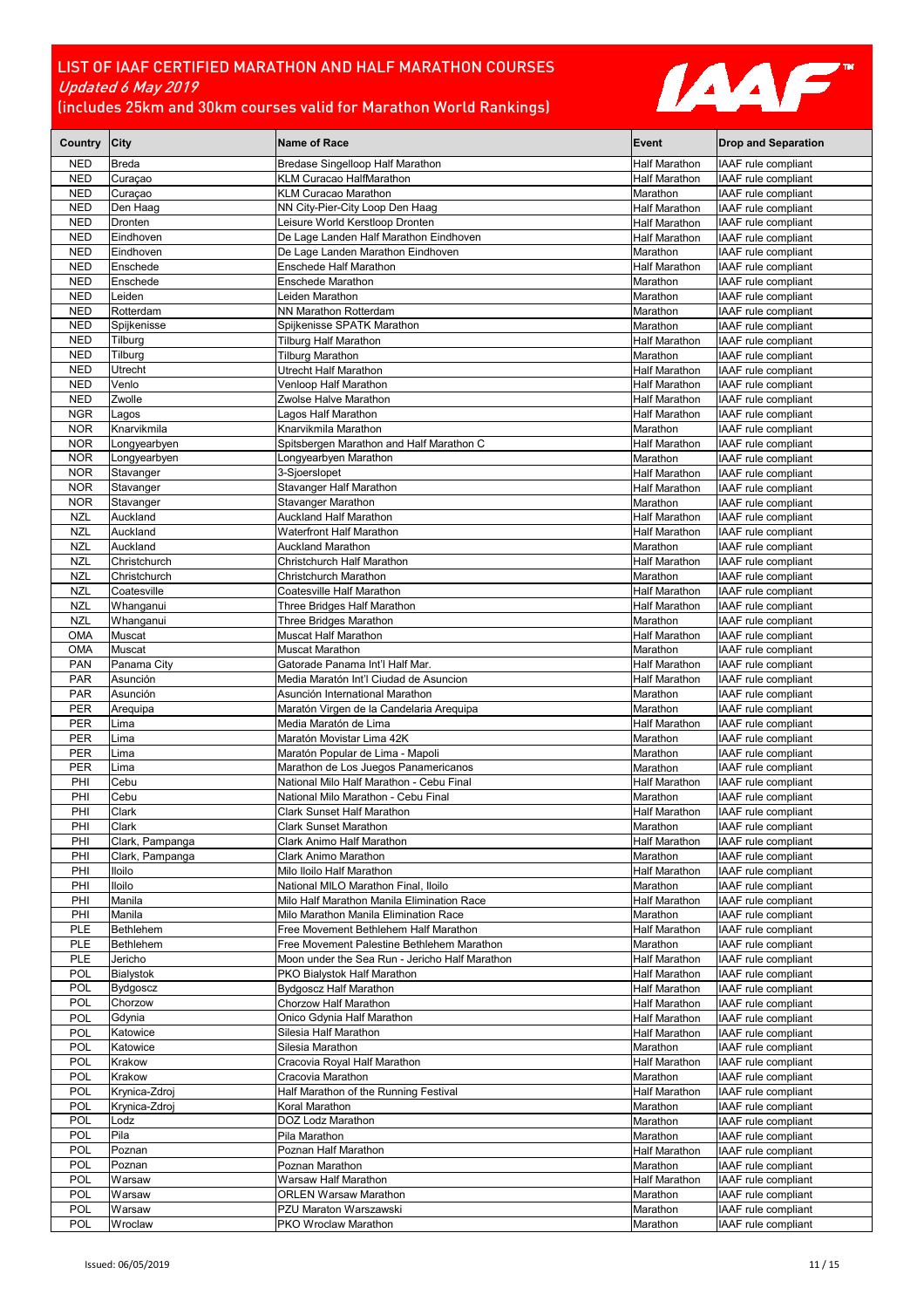

| Country City             |                               | <b>Name of Race</b>                                                                 | Event                     | <b>Drop and Separation</b>                 |
|--------------------------|-------------------------------|-------------------------------------------------------------------------------------|---------------------------|--------------------------------------------|
| <b>NED</b>               | <b>Breda</b>                  | <b>Bredase Singelloop Half Marathon</b>                                             | <b>Half Marathon</b>      | IAAF rule compliant                        |
| <b>NED</b>               | Curaçao                       | KLM Curacao HalfMarathon                                                            | Half Marathon             | IAAF rule compliant                        |
| <b>NED</b>               | Curaçao                       | <b>KLM Curacao Marathon</b>                                                         | Marathon                  | IAAF rule compliant                        |
| <b>NED</b>               | Den Haag                      | NN City-Pier-City Loop Den Haag                                                     | Half Marathon             | IAAF rule compliant                        |
| <b>NED</b>               | Dronten                       | Leisure World Kerstloop Dronten                                                     | <b>Half Marathon</b>      | IAAF rule compliant                        |
| <b>NED</b>               | Eindhoven                     | De Lage Landen Half Marathon Eindhoven                                              | Half Marathon             | IAAF rule compliant                        |
| <b>NED</b>               | Eindhoven<br>Enschede         | De Lage Landen Marathon Eindhoven<br><b>Enschede Half Marathon</b>                  | Marathon<br>Half Marathon | IAAF rule compliant                        |
| <b>NED</b><br><b>NED</b> | Enschede                      | Enschede Marathon                                                                   | Marathon                  | IAAF rule compliant<br>IAAF rule compliant |
| <b>NED</b>               | Leiden                        | Leiden Marathon                                                                     | Marathon                  | IAAF rule compliant                        |
| <b>NED</b>               | Rotterdam                     | NN Marathon Rotterdam                                                               | Marathon                  | IAAF rule compliant                        |
| <b>NED</b>               | Spijkenisse                   | Spijkenisse SPATK Marathon                                                          | Marathon                  | IAAF rule compliant                        |
| <b>NED</b>               | Tilburg                       | Tilburg Half Marathon                                                               | Half Marathon             | IAAF rule compliant                        |
| <b>NED</b>               | Tilburg                       | <b>Tilburg Marathon</b>                                                             | Marathon                  | IAAF rule compliant                        |
| <b>NED</b>               | Utrecht                       | Utrecht Half Marathon                                                               | Half Marathon             | IAAF rule compliant                        |
| <b>NED</b>               | Venlo                         | Venloop Half Marathon                                                               | Half Marathon             | IAAF rule compliant                        |
| <b>NED</b>               | Zwolle                        | Zwolse Halve Marathon                                                               | <b>Half Marathon</b>      | IAAF rule compliant                        |
| <b>NGR</b>               | Lagos                         | Lagos Half Marathon                                                                 | <b>Half Marathon</b>      | IAAF rule compliant                        |
| <b>NOR</b>               | Knarvikmila                   | Knarvikmila Marathon<br>Spitsbergen Marathon and Half Marathon C                    | Marathon                  | IAAF rule compliant                        |
| <b>NOR</b><br><b>NOR</b> | Longyearbyen<br>Longyearbyen  | Longyearbyen Marathon                                                               | Half Marathon<br>Marathon | IAAF rule compliant<br>IAAF rule compliant |
| <b>NOR</b>               | Stavanger                     | 3-Sioerslopet                                                                       | Half Marathon             | IAAF rule compliant                        |
| <b>NOR</b>               | Stavanger                     | Stavanger Half Marathon                                                             | <b>Half Marathon</b>      | IAAF rule compliant                        |
| <b>NOR</b>               | Stavanger                     | Stavanger Marathon                                                                  | Marathon                  | IAAF rule compliant                        |
| <b>NZL</b>               | Auckland                      | <b>Auckland Half Marathon</b>                                                       | Half Marathon             | IAAF rule compliant                        |
| <b>NZL</b>               | Auckland                      | <b>Waterfront Half Marathon</b>                                                     | <b>Half Marathon</b>      | IAAF rule compliant                        |
| <b>NZL</b>               | Auckland                      | <b>Auckland Marathon</b>                                                            | Marathon                  | IAAF rule compliant                        |
| NZL                      | Christchurch                  | Christchurch Half Marathon                                                          | Half Marathon             | IAAF rule compliant                        |
| <b>NZL</b>               | Christchurch                  | Christchurch Marathon                                                               | Marathon                  | IAAF rule compliant                        |
| <b>NZL</b>               | Coatesville                   | Coatesville Half Marathon                                                           | Half Marathon             | IAAF rule compliant                        |
| NZL<br><b>NZL</b>        | Whanganui                     | Three Bridges Half Marathon                                                         | Half Marathon<br>Marathon | IAAF rule compliant<br>IAAF rule compliant |
| <b>OMA</b>               | Whanganui<br>Muscat           | Three Bridges Marathon<br>Muscat Half Marathon                                      | Half Marathon             | IAAF rule compliant                        |
| <b>OMA</b>               | Muscat                        | Muscat Marathon                                                                     | Marathon                  | IAAF rule compliant                        |
| <b>PAN</b>               | Panama City                   | Gatorade Panama Int'l Half Mar.                                                     | Half Marathon             | IAAF rule compliant                        |
| <b>PAR</b>               | Asunción                      | Media Maratón Int'l Ciudad de Asuncion                                              | <b>Half Marathon</b>      | IAAF rule compliant                        |
| <b>PAR</b>               | Asunción                      | Asunción International Marathon                                                     | Marathon                  | IAAF rule compliant                        |
| <b>PER</b>               | Arequipa                      | Maratón Virgen de la Candelaria Arequipa                                            | Marathon                  | IAAF rule compliant                        |
| <b>PER</b>               | Lima                          | Media Maratón de Lima                                                               | Half Marathon             | IAAF rule compliant                        |
| <b>PER</b>               | Lima                          | Maratón Movistar Lima 42K                                                           | Marathon                  | IAAF rule compliant                        |
| <b>PER</b>               | Lima                          | Maratón Popular de Lima - Mapoli                                                    | Marathon                  | IAAF rule compliant                        |
| <b>PER</b><br>PHI        | Lima<br>Cebu                  | Marathon de Los Juegos Panamericanos<br>National Milo Half Marathon - Cebu Final    | Marathon                  | IAAF rule compliant<br>IAAF rule compliant |
| PHI                      | Cebu                          | National Milo Marathon - Cebu Final                                                 | Half Marathon<br>Marathon | IAAF rule compliant                        |
| PHI                      | Clark                         | Clark Sunset Half Marathon                                                          | Half Marathon             | IAAF rule compliant                        |
| PHI                      | Clark                         | <b>Clark Sunset Marathon</b>                                                        | Marathon                  | IAAF rule compliant                        |
| PHI                      | Clark, Pampanga               | Clark Animo Half Marathon                                                           | Half Marathon             | IAAF rule compliant                        |
| PHI                      | Clark, Pampanga               | Clark Animo Marathon                                                                | Marathon                  | IAAF rule compliant                        |
| PHI                      | lloilo                        | Milo Iloilo Half Marathon                                                           | Half Marathon             | IAAF rule compliant                        |
| PHI                      | lloilo                        | National MILO Marathon Final, Iloilo                                                | Marathon                  | IAAF rule compliant                        |
| PHI                      | Manila                        | Milo Half Marathon Manila Elimination Race                                          | <b>Half Marathon</b>      | IAAF rule compliant                        |
| PHI                      | Manila                        | Milo Marathon Manila Elimination Race                                               | Marathon                  | IAAF rule compliant                        |
| PLE<br>PLE               | <b>Bethlehem</b><br>Bethlehem | Free Movement Bethlehem Half Marathon<br>Free Movement Palestine Bethlehem Marathon | Half Marathon<br>Marathon | IAAF rule compliant<br>IAAF rule compliant |
| PLE                      | Jericho                       | Moon under the Sea Run - Jericho Half Marathon                                      | <b>Half Marathon</b>      | IAAF rule compliant                        |
| POL                      | Bialystok                     | PKO Bialystok Half Marathon                                                         | Half Marathon             | IAAF rule compliant                        |
| POL                      | <b>Bydgoscz</b>               | <b>Bydgoscz Half Marathon</b>                                                       | <b>Half Marathon</b>      | IAAF rule compliant                        |
| POL                      | Chorzow                       | Chorzow Half Marathon                                                               | Half Marathon             | IAAF rule compliant                        |
| POL                      | Gdynia                        | Onico Gdynia Half Marathon                                                          | Half Marathon             | IAAF rule compliant                        |
| POL                      | Katowice                      | Silesia Half Marathon                                                               | Half Marathon             | IAAF rule compliant                        |
| POL                      | Katowice                      | Silesia Marathon                                                                    | Marathon                  | IAAF rule compliant                        |
| POL                      | Krakow                        | Cracovia Royal Half Marathon                                                        | Half Marathon             | IAAF rule compliant                        |
| POL                      | Krakow                        | Cracovia Marathon                                                                   | Marathon                  | IAAF rule compliant                        |
| POL                      | Krynica-Zdroj                 | Half Marathon of the Running Festival                                               | Half Marathon             | IAAF rule compliant                        |
| POL<br>POL               | Krynica-Zdroj<br>Lodz         | Koral Marathon<br>DOZ Lodz Marathon                                                 | Marathon<br>Marathon      | IAAF rule compliant<br>IAAF rule compliant |
| POL                      | Pila                          | Pila Marathon                                                                       | Marathon                  | IAAF rule compliant                        |
| POL                      | Poznan                        | Poznan Half Marathon                                                                | Half Marathon             | IAAF rule compliant                        |
| POL                      | Poznan                        | Poznan Marathon                                                                     | Marathon                  | IAAF rule compliant                        |
| POL                      | Warsaw                        | Warsaw Half Marathon                                                                | Half Marathon             | IAAF rule compliant                        |
| POL                      | Warsaw                        | <b>ORLEN Warsaw Marathon</b>                                                        | Marathon                  | IAAF rule compliant                        |
| POL                      | Warsaw                        | PZU Maraton Warszawski                                                              | Marathon                  | IAAF rule compliant                        |
| POL                      | Wroclaw                       | PKO Wroclaw Marathon                                                                | Marathon                  | IAAF rule compliant                        |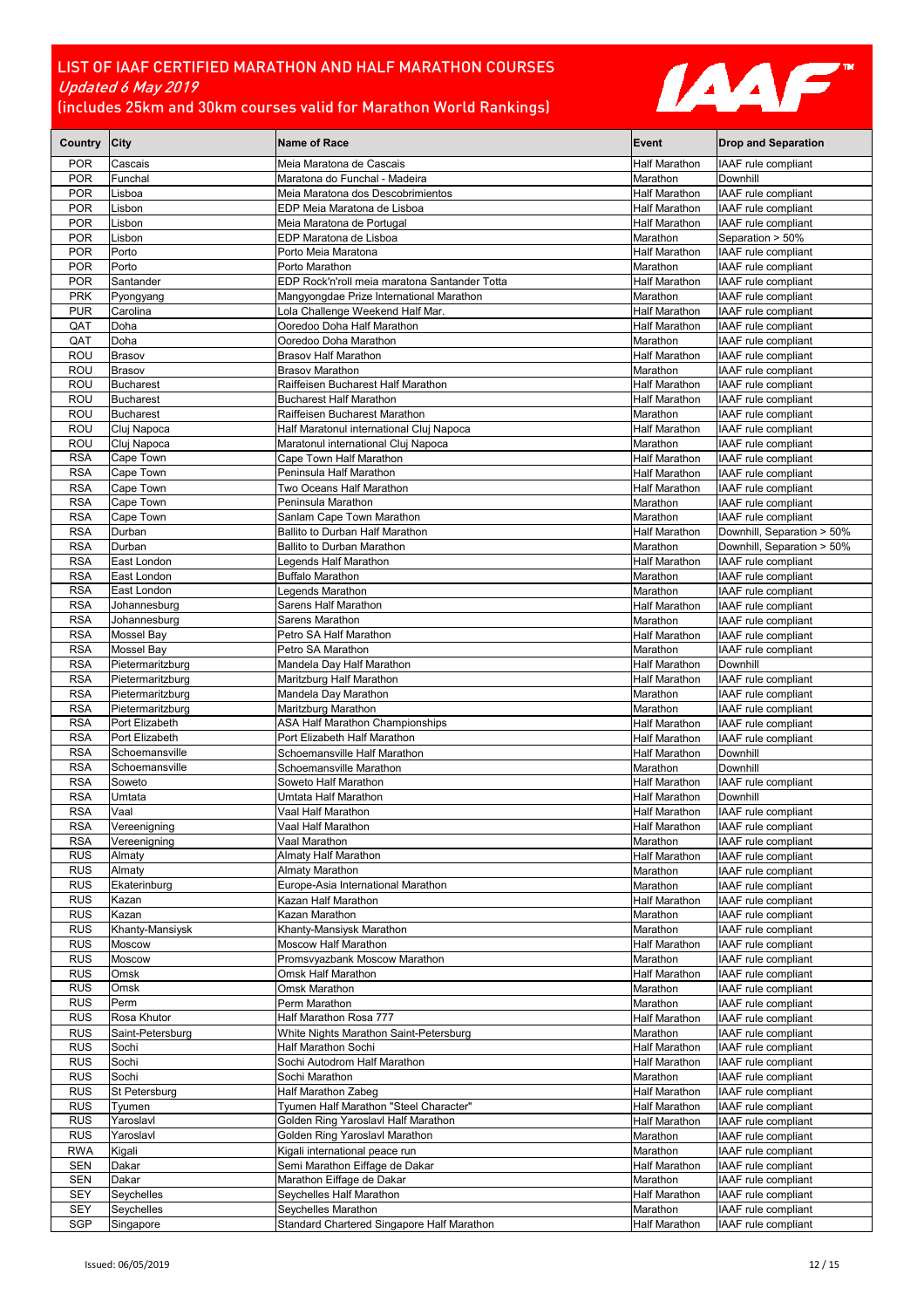

| Country City             |                                   | <b>Name of Race</b>                                                           | Event                            | <b>Drop and Separation</b>                 |
|--------------------------|-----------------------------------|-------------------------------------------------------------------------------|----------------------------------|--------------------------------------------|
| <b>POR</b>               | Cascais                           | Meia Maratona de Cascais                                                      | Half Marathon                    | IAAF rule compliant                        |
| <b>POR</b>               | Funchal                           | Maratona do Funchal - Madeira                                                 | Marathon                         | Downhill                                   |
| <b>POR</b>               | Lisboa                            | Meia Maratona dos Descobrimientos                                             | Half Marathon                    | IAAF rule compliant                        |
| <b>POR</b>               | Lisbon                            | EDP Meia Maratona de Lisboa                                                   | Half Marathon                    | IAAF rule compliant                        |
| <b>POR</b><br><b>POR</b> | Lisbon<br>Lisbon                  | Meia Maratona de Portugal<br>EDP Maratona de Lisboa                           | Half Marathon<br>Marathon        | IAAF rule compliant<br>Separation > 50%    |
| <b>POR</b>               | Porto                             | Porto Meia Maratona                                                           | Half Marathon                    | IAAF rule compliant                        |
| <b>POR</b>               | Porto                             | Porto Marathon                                                                | Marathon                         | IAAF rule compliant                        |
| <b>POR</b>               | Santander                         | EDP Rock'n'roll meia maratona Santander Totta                                 | Half Marathon                    | IAAF rule compliant                        |
| <b>PRK</b>               | Pyongyang                         | Mangyongdae Prize International Marathon                                      | Marathon                         | IAAF rule compliant                        |
| <b>PUR</b>               | Carolina                          | Lola Challenge Weekend Half Mar.                                              | Half Marathon                    | IAAF rule compliant                        |
| QAT                      | Doha                              | Ooredoo Doha Half Marathon                                                    | Half Marathon                    | IAAF rule compliant                        |
| QAT                      | Doha                              | Ooredoo Doha Marathon                                                         | Marathon                         | <b>IAAF</b> rule compliant                 |
| <b>ROU</b><br><b>ROU</b> | <b>Brasov</b><br><b>Brasov</b>    | <b>Brasov Half Marathon</b><br><b>Brasov Marathon</b>                         | Half Marathon<br>Marathon        | IAAF rule compliant<br>IAAF rule compliant |
| <b>ROU</b>               | <b>Bucharest</b>                  | Raiffeisen Bucharest Half Marathon                                            | Half Marathon                    | IAAF rule compliant                        |
| ROU                      | <b>Bucharest</b>                  | <b>Bucharest Half Marathon</b>                                                | Half Marathon                    | IAAF rule compliant                        |
| <b>ROU</b>               | <b>Bucharest</b>                  | Raiffeisen Bucharest Marathon                                                 | Marathon                         | IAAF rule compliant                        |
| <b>ROU</b>               | Cluj Napoca                       | Half Maratonul international Cluj Napoca                                      | Half Marathon                    | IAAF rule compliant                        |
| <b>ROU</b>               | Cluj Napoca                       | Maratonul international Cluj Napoca                                           | Marathon                         | IAAF rule compliant                        |
| <b>RSA</b>               | Cape Town                         | Cape Town Half Marathon                                                       | <b>Half Marathon</b>             | IAAF rule compliant                        |
| <b>RSA</b>               | Cape Town                         | Peninsula Half Marathon                                                       | <b>Half Marathon</b>             | IAAF rule compliant                        |
| <b>RSA</b><br><b>RSA</b> | Cape Town<br>Cape Town            | Two Oceans Half Marathon<br>Peninsula Marathon                                | <b>Half Marathon</b><br>Marathon | IAAF rule compliant<br>IAAF rule compliant |
| <b>RSA</b>               | Cape Town                         | Sanlam Cape Town Marathon                                                     | Marathon                         | IAAF rule compliant                        |
| <b>RSA</b>               | Durban                            | Ballito to Durban Half Marathon                                               | Half Marathon                    | Downhill, Separation > 50%                 |
| <b>RSA</b>               | Durban                            | <b>Ballito to Durban Marathon</b>                                             | Marathon                         | Downhill, Separation > 50%                 |
| <b>RSA</b>               | East London                       | Legends Half Marathon                                                         | Half Marathon                    | IAAF rule compliant                        |
| <b>RSA</b>               | East London                       | <b>Buffalo Marathon</b>                                                       | Marathon                         | IAAF rule compliant                        |
| <b>RSA</b>               | East London                       | Legends Marathon                                                              | Marathon                         | IAAF rule compliant                        |
| <b>RSA</b>               | Johannesburg                      | Sarens Half Marathon                                                          | Half Marathon                    | IAAF rule compliant<br>IAAF rule compliant |
| <b>RSA</b><br><b>RSA</b> | Johannesburg<br><b>Mossel Bay</b> | Sarens Marathon<br>Petro SA Half Marathon                                     | Marathon<br><b>Half Marathon</b> | IAAF rule compliant                        |
| <b>RSA</b>               | <b>Mossel Bay</b>                 | Petro SA Marathon                                                             | Marathon                         | IAAF rule compliant                        |
| <b>RSA</b>               | Pietermaritzburg                  | Mandela Day Half Marathon                                                     | Half Marathon                    | Downhill                                   |
| <b>RSA</b>               | Pietermaritzburg                  | Maritzburg Half Marathon                                                      | Half Marathon                    | IAAF rule compliant                        |
| <b>RSA</b>               | Pietermaritzburg                  | Mandela Day Marathon                                                          | Marathon                         | IAAF rule compliant                        |
| <b>RSA</b>               | Pietermaritzburg                  | Maritzburg Marathon                                                           | Marathon                         | IAAF rule compliant                        |
| <b>RSA</b>               | Port Elizabeth                    | ASA Half Marathon Championships                                               | <b>Half Marathon</b>             | IAAF rule compliant                        |
| <b>RSA</b><br><b>RSA</b> | Port Elizabeth<br>Schoemansville  | Port Elizabeth Half Marathon<br>Schoemansville Half Marathon                  | Half Marathon<br>Half Marathon   | IAAF rule compliant<br>Downhill            |
| <b>RSA</b>               | Schoemansville                    | Schoemansville Marathon                                                       | Marathon                         | Downhill                                   |
| <b>RSA</b>               | Soweto                            | Soweto Half Marathon                                                          | Half Marathon                    | IAAF rule compliant                        |
| <b>RSA</b>               | Umtata                            | Umtata Half Marathon                                                          | Half Marathon                    | Downhill                                   |
| <b>RSA</b>               | Vaal                              | Vaal Half Marathon                                                            | Half Marathon                    | IAAF rule compliant                        |
| <b>RSA</b>               | Vereenigning                      | Vaal Half Marathon                                                            | <b>Half Marathon</b>             | IAAF rule compliant                        |
| <b>RSA</b>               | Vereenigning                      | Vaal Marathon                                                                 | Marathon                         | IAAF rule compliant                        |
| <b>RUS</b><br><b>RUS</b> | Almaty<br>Almaty                  | Almaty Half Marathon<br>Almaty Marathon                                       | Half Marathon<br>Marathon        | IAAF rule compliant<br>IAAF rule compliant |
| <b>RUS</b>               | Ekaterinburg                      | Europe-Asia International Marathon                                            | Marathon                         | IAAF rule compliant                        |
| <b>RUS</b>               | Kazan                             | Kazan Half Marathon                                                           | Half Marathon                    | IAAF rule compliant                        |
| <b>RUS</b>               | Kazan                             | Kazan Marathon                                                                | Marathon                         | IAAF rule compliant                        |
| <b>RUS</b>               | Khanty-Mansiysk                   | Khanty-Mansiysk Marathon                                                      | Marathon                         | IAAF rule compliant                        |
| <b>RUS</b>               | Moscow                            | <b>Moscow Half Marathon</b>                                                   | Half Marathon                    | IAAF rule compliant                        |
| <b>RUS</b>               | Moscow                            | Promsvyazbank Moscow Marathon                                                 | Marathon                         | IAAF rule compliant                        |
| <b>RUS</b><br><b>RUS</b> | Omsk<br>Omsk                      | Omsk Half Marathon<br>Omsk Marathon                                           | Half Marathon<br>Marathon        | IAAF rule compliant<br>IAAF rule compliant |
| <b>RUS</b>               | Perm                              | Perm Marathon                                                                 | Marathon                         | IAAF rule compliant                        |
| <b>RUS</b>               | Rosa Khutor                       | Half Marathon Rosa 777                                                        | Half Marathon                    | IAAF rule compliant                        |
| <b>RUS</b>               | Saint-Petersburg                  | White Nights Marathon Saint-Petersburg                                        | Marathon                         | IAAF rule compliant                        |
| <b>RUS</b>               | Sochi                             | Half Marathon Sochi                                                           | <b>Half Marathon</b>             | IAAF rule compliant                        |
| <b>RUS</b>               | Sochi                             | Sochi Autodrom Half Marathon                                                  | Half Marathon                    | IAAF rule compliant                        |
| <b>RUS</b>               | Sochi                             | Sochi Marathon                                                                | Marathon                         | IAAF rule compliant                        |
| <b>RUS</b>               | St Petersburg                     | Half Marathon Zabeg                                                           | Half Marathon                    | IAAF rule compliant                        |
| <b>RUS</b><br><b>RUS</b> | Tyumen<br>Yaroslavl               | Tyumen Half Marathon "Steel Character"<br>Golden Ring Yaroslavl Half Marathon | Half Marathon<br>Half Marathon   | IAAF rule compliant<br>IAAF rule compliant |
| <b>RUS</b>               | Yaroslavl                         | Golden Ring Yaroslavl Marathon                                                | Marathon                         | IAAF rule compliant                        |
| <b>RWA</b>               | Kigali                            | Kigali international peace run                                                | Marathon                         | IAAF rule compliant                        |
| SEN                      | Dakar                             | Semi Marathon Eiffage de Dakar                                                | Half Marathon                    | IAAF rule compliant                        |
| <b>SEN</b>               | Dakar                             | Marathon Eiffage de Dakar                                                     | Marathon                         | IAAF rule compliant                        |
| <b>SEY</b>               | Seychelles                        | Seychelles Half Marathon                                                      | Half Marathon                    | IAAF rule compliant                        |
| <b>SEY</b>               | Seychelles                        | Seychelles Marathon                                                           | Marathon                         | IAAF rule compliant                        |
| SGP                      | Singapore                         | Standard Chartered Singapore Half Marathon                                    | Half Marathon                    | IAAF rule compliant                        |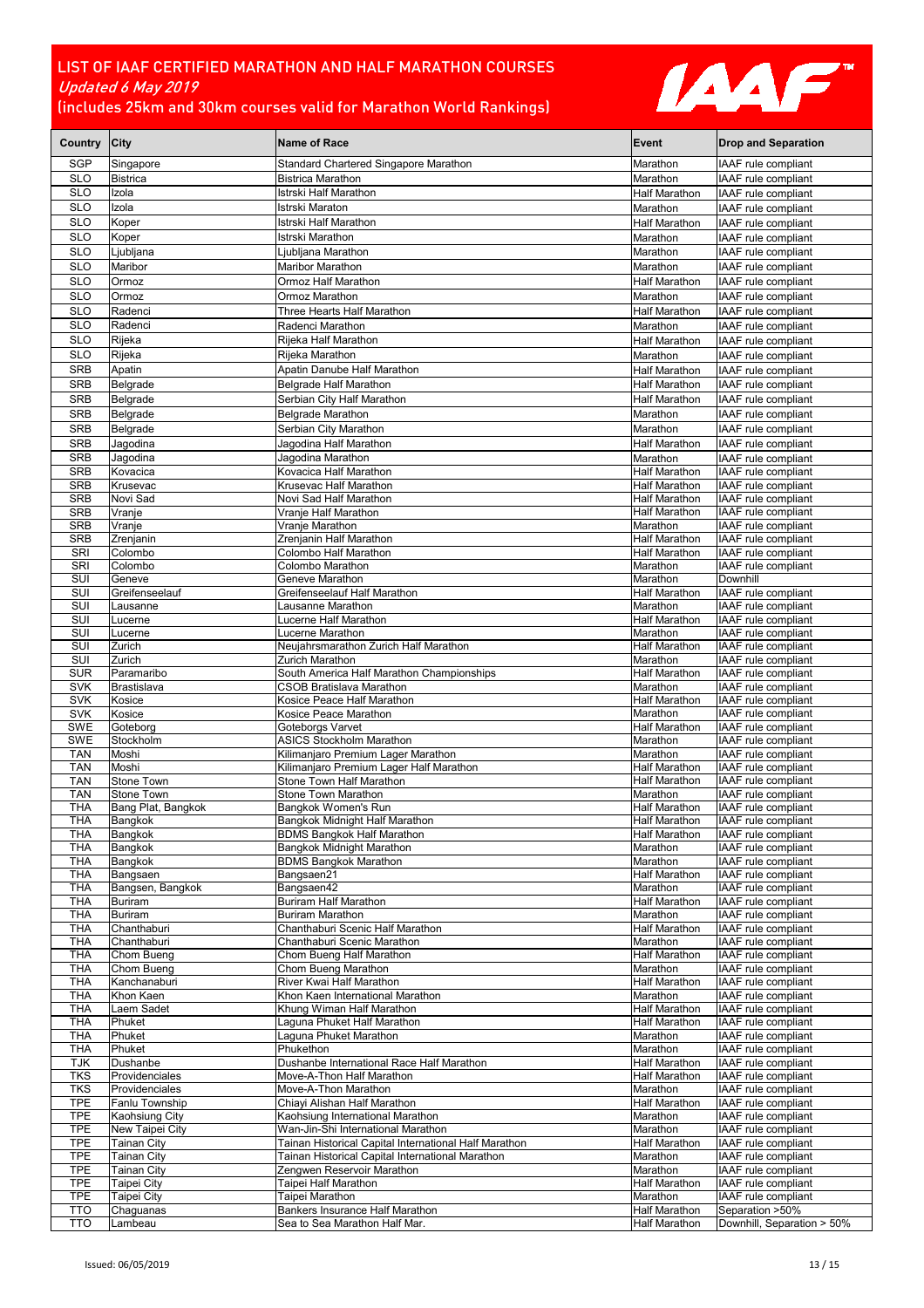

| Country City             |                                       | <b>Name of Race</b>                                                                                       | Event                                        | <b>Drop and Separation</b>                        |
|--------------------------|---------------------------------------|-----------------------------------------------------------------------------------------------------------|----------------------------------------------|---------------------------------------------------|
| <b>SGP</b>               | Singapore                             | Standard Chartered Singapore Marathon                                                                     | Marathon                                     | <b>IAAF</b> rule compliant                        |
| <b>SLO</b>               | <b>Bistrica</b>                       | <b>Bistrica Marathon</b>                                                                                  | Marathon                                     | IAAF rule compliant                               |
| <b>SLO</b>               | Izola                                 | Istrski Half Marathon                                                                                     | <b>Half Marathon</b>                         | <b>IAAF</b> rule compliant                        |
| <b>SLO</b>               | Izola                                 | Istrski Maraton                                                                                           | Marathon                                     | IAAF rule compliant                               |
| <b>SLO</b>               | Koper                                 | Istrski Half Marathon                                                                                     | <b>Half Marathon</b>                         | IAAF rule compliant                               |
| <b>SLO</b>               | Koper                                 | Istrski Marathon                                                                                          | Marathon                                     | IAAF rule compliant                               |
| <b>SLO</b>               | Ljubljana                             | Ljubljana Marathon                                                                                        | Marathon                                     | IAAF rule compliant                               |
| <b>SLO</b>               | Maribor                               | <b>Maribor Marathon</b>                                                                                   | Marathon                                     | IAAF rule compliant                               |
| <b>SLO</b><br><b>SLO</b> | Ormoz<br>Ormoz                        | Ormoz Half Marathon<br>Ormoz Marathon                                                                     | <b>Half Marathon</b>                         | IAAF rule compliant<br>IAAF rule compliant        |
| <b>SLO</b>               | Radenci                               | Three Hearts Half Marathon                                                                                | Marathon<br><b>Half Marathon</b>             | IAAF rule compliant                               |
| <b>SLO</b>               | Radenci                               | Radenci Marathon                                                                                          | Marathon                                     | <b>IAAF</b> rule compliant                        |
| <b>SLO</b>               | Rijeka                                | Rijeka Half Marathon                                                                                      | <b>Half Marathon</b>                         | IAAF rule compliant                               |
| <b>SLO</b>               | Rijeka                                | Rijeka Marathon                                                                                           | Marathon                                     | <b>IAAF</b> rule compliant                        |
| <b>SRB</b>               | Apatin                                | Apatin Danube Half Marathon                                                                               | <b>Half Marathon</b>                         | IAAF rule compliant                               |
| <b>SRB</b>               | Belgrade                              | Belgrade Half Marathon                                                                                    | <b>Half Marathon</b>                         | IAAF rule compliant                               |
| <b>SRB</b>               | Belgrade                              | Serbian City Half Marathon                                                                                | <b>Half Marathon</b>                         | IAAF rule compliant                               |
| <b>SRB</b>               | Belgrade                              | Belgrade Marathon                                                                                         | Marathon                                     | IAAF rule compliant                               |
| <b>SRB</b>               | Belgrade                              | Serbian City Marathon                                                                                     | Marathon                                     | IAAF rule compliant                               |
| <b>SRB</b>               | Jagodina                              | Jagodina Half Marathon                                                                                    | <b>Half Marathon</b>                         | <b>IAAF</b> rule compliant                        |
| <b>SRB</b>               | Jagodina                              | Jagodina Marathon                                                                                         | Marathon                                     | IAAF rule compliant<br><b>IAAF</b> rule compliant |
| SRB<br><b>SRB</b>        | Kovacica<br>Krusevac                  | Kovacica Half Marathon<br>Krusevac Half Marathon                                                          | <b>Half Marathon</b><br><b>Half Marathon</b> | IAAF rule compliant                               |
| <b>SRB</b>               | Novi Sad                              | Novi Sad Half Marathon                                                                                    | <b>Half Marathon</b>                         | IAAF rule compliant                               |
| <b>SRB</b>               | Vranje                                | Vranje Half Marathon                                                                                      | <b>Half Marathon</b>                         | IAAF rule compliant                               |
| <b>SRB</b>               | Vranje                                | Vranje Marathon                                                                                           | Marathon                                     | IAAF rule compliant                               |
| <b>SRB</b>               | Zrenjanin                             | Zrenjanin Half Marathon                                                                                   | <b>Half Marathon</b>                         | <b>IAAF</b> rule compliant                        |
| SRI<br>SRI               | Colombo                               | Colombo Half Marathon                                                                                     | <b>Half Marathon</b>                         | IAAF rule compliant<br><b>IAAF</b> rule compliant |
| SUI                      | Colombo<br>Geneve                     | Colombo Marathon<br>Geneve Marathon                                                                       | Marathon<br>Marathon                         | Downhill                                          |
| SUI                      | Greifenseelauf                        | Greifenseelauf Half Marathon                                                                              | <b>Half Marathon</b>                         | IAAF rule compliant                               |
| SUI                      | Lausanne                              | Lausanne Marathon                                                                                         | Marathon                                     | IAAF rule compliant                               |
| SUI                      | Lucerne                               | Lucerne Half Marathon                                                                                     | <b>Half Marathon</b>                         | IAAF rule compliant                               |
| SUI                      | Lucerne                               | Lucerne Marathon                                                                                          | Marathon                                     | IAAF rule compliant                               |
| SUI<br>SUI               | Zurich<br>Zurich                      | Neujahrsmarathon Zurich Half Marathon<br>Zurich Marathon                                                  | <b>Half Marathon</b><br>Marathon             | IAAF rule compliant<br>IAAF rule compliant        |
| <b>SUR</b>               | Paramaribo                            | South America Half Marathon Championships                                                                 | <b>Half Marathon</b>                         | IAAF rule compliant                               |
| <b>SVK</b>               | Brastislava                           | CSOB Bratislava Marathon                                                                                  | Marathon                                     | IAAF rule compliant                               |
| <b>SVK</b>               | Kosice                                | Kosice Peace Half Marathon                                                                                | <b>Half Marathon</b>                         | IAAF rule compliant                               |
| SVK                      | Kosice                                | Kosice Peace Marathon                                                                                     | Marathon                                     | IAAF rule compliant                               |
| <b>SWE</b><br><b>SWE</b> | Goteborg<br>Stockholm                 | Goteborgs Varvet<br><b>ASICS Stockholm Marathon</b>                                                       | <b>Half Marathon</b><br>Marathon             | IAAF rule compliant<br>IAAF rule compliant        |
| <b>TAN</b>               | Moshi                                 | Kilimanjaro Premium Lager Marathon                                                                        | Marathon                                     | IAAF rule compliant                               |
| <b>TAN</b>               | Moshi                                 | Kilimanjaro Premium Lager Half Marathon                                                                   | <b>Half Marathon</b>                         | IAAF rule compliant                               |
| <b>TAN</b>               | Stone Town                            | Stone Town Half Marathon                                                                                  | <b>Half Marathon</b>                         | IAAF rule compliant                               |
| <b>TAN</b>               | Stone Town                            | Stone Town Marathon                                                                                       | Marathon                                     | <b>IAAF</b> rule compliant                        |
| <b>THA</b><br><b>THA</b> | Bang Plat, Bangkok<br>Bangkok         | Bangkok Women's Run<br>Bangkok Midnight Half Marathon                                                     | <b>Half Marathon</b><br><b>Half Marathon</b> | IAAF rule compliant<br><b>IAAF</b> rule compliant |
| THA                      | Bangkok                               | BDMS Bangkok Half Marathon                                                                                | <b>Half Marathon</b>                         | IAAF rule compliant                               |
| <b>THA</b>               | Bangkok                               | Bangkok Midnight Marathon                                                                                 | Marathon                                     | IAAF rule compliant                               |
| THA                      | Bangkok                               | <b>BDMS Bangkok Marathon</b>                                                                              | Marathon                                     | IAAF rule compliant                               |
| <b>THA</b>               | Bangsaen                              | Bangsaen21                                                                                                | <b>Half Marathon</b>                         | IAAF rule compliant                               |
| <b>THA</b><br>THA        | Bangsen, Bangkok<br>Buriram           | Bangsaen42<br>Buriram Half Marathon                                                                       | Marathon<br><b>Half Marathon</b>             | IAAF rule compliant<br>IAAF rule compliant        |
| <b>THA</b>               | Buriram                               | <b>Buriram Marathon</b>                                                                                   | Marathon                                     | IAAF rule compliant                               |
| <b>THA</b>               | Chanthaburi                           | Chanthaburi Scenic Half Marathon                                                                          | <b>Half Marathon</b>                         | IAAF rule compliant                               |
| <b>THA</b>               | Chanthaburi                           | Chanthaburi Scenic Marathon                                                                               | Marathon                                     | IAAF rule compliant                               |
| <b>THA</b>               | Chom Bueng                            | Chom Bueng Half Marathon                                                                                  | <b>Half Marathon</b>                         | IAAF rule compliant                               |
| <b>THA</b><br><b>THA</b> | Chom Bueng<br>Kanchanaburi            | Chom Bueng Marathon<br>River Kwai Half Marathon                                                           | Marathon<br><b>Half Marathon</b>             | IAAF rule compliant<br>IAAF rule compliant        |
| <b>THA</b>               | Khon Kaen                             | Khon Kaen International Marathon                                                                          | Marathon                                     | IAAF rule compliant                               |
| <b>THA</b>               | Laem Sadet                            | Khung Wiman Half Marathon                                                                                 | <b>Half Marathon</b>                         | IAAF rule compliant                               |
| <b>THA</b>               | Phuket                                | Laguna Phuket Half Marathon                                                                               | <b>Half Marathon</b>                         | <b>IAAF</b> rule compliant                        |
| <b>THA</b>               | Phuket                                | Laguna Phuket Marathon                                                                                    | Marathon                                     | IAAF rule compliant                               |
| <b>THA</b><br><b>TJK</b> | Phuket<br>Dushanbe                    | Phukethon<br>Dushanbe International Race Half Marathon                                                    | Marathon<br><b>Half Marathon</b>             | IAAF rule compliant<br>IAAF rule compliant        |
| TKS                      | Providenciales                        | Move-A-Thon Half Marathon                                                                                 | Half Marathon                                | IAAF rule compliant                               |
| <b>TKS</b>               | Providenciales                        | Move-A-Thon Marathon                                                                                      | Marathon                                     | IAAF rule compliant                               |
| <b>TPE</b>               | Fanlu Township                        | Chiayi Alishan Half Marathon                                                                              | <b>Half Marathon</b>                         | IAAF rule compliant                               |
| TPE                      | Kaohsiung City                        | Kaohsiung International Marathon                                                                          | Marathon                                     | IAAF rule compliant                               |
| <b>TPE</b>               | New Taipei City<br><b>Tainan City</b> | Wan-Jin-Shi International Marathon                                                                        | Marathon<br><b>Half Marathon</b>             | IAAF rule compliant<br>IAAF rule compliant        |
| <b>TPE</b><br><b>TPE</b> | <b>Tainan City</b>                    | Tainan Historical Capital International Half Marathon<br>Tainan Historical Capital International Marathon | Marathon                                     | IAAF rule compliant                               |
| <b>TPE</b>               | <b>Tainan City</b>                    | Zengwen Reservoir Marathon                                                                                | Marathon                                     | <b>IAAF</b> rule compliant                        |
| <b>TPE</b>               | Taipei City                           | Taipei Half Marathon                                                                                      | <b>Half Marathon</b>                         | IAAF rule compliant                               |
| <b>TPE</b>               | Taipei City                           | Taipei Marathon                                                                                           | Marathon                                     | IAAF rule compliant                               |
| <b>TTO</b>               | Chaguanas                             | Bankers Insurance Half Marathon                                                                           | <b>Half Marathon</b>                         | Separation >50%                                   |
| <b>TTO</b>               | Lambeau                               | Sea to Sea Marathon Half Mar.                                                                             | <b>Half Marathon</b>                         | Downhill, Separation > 50%                        |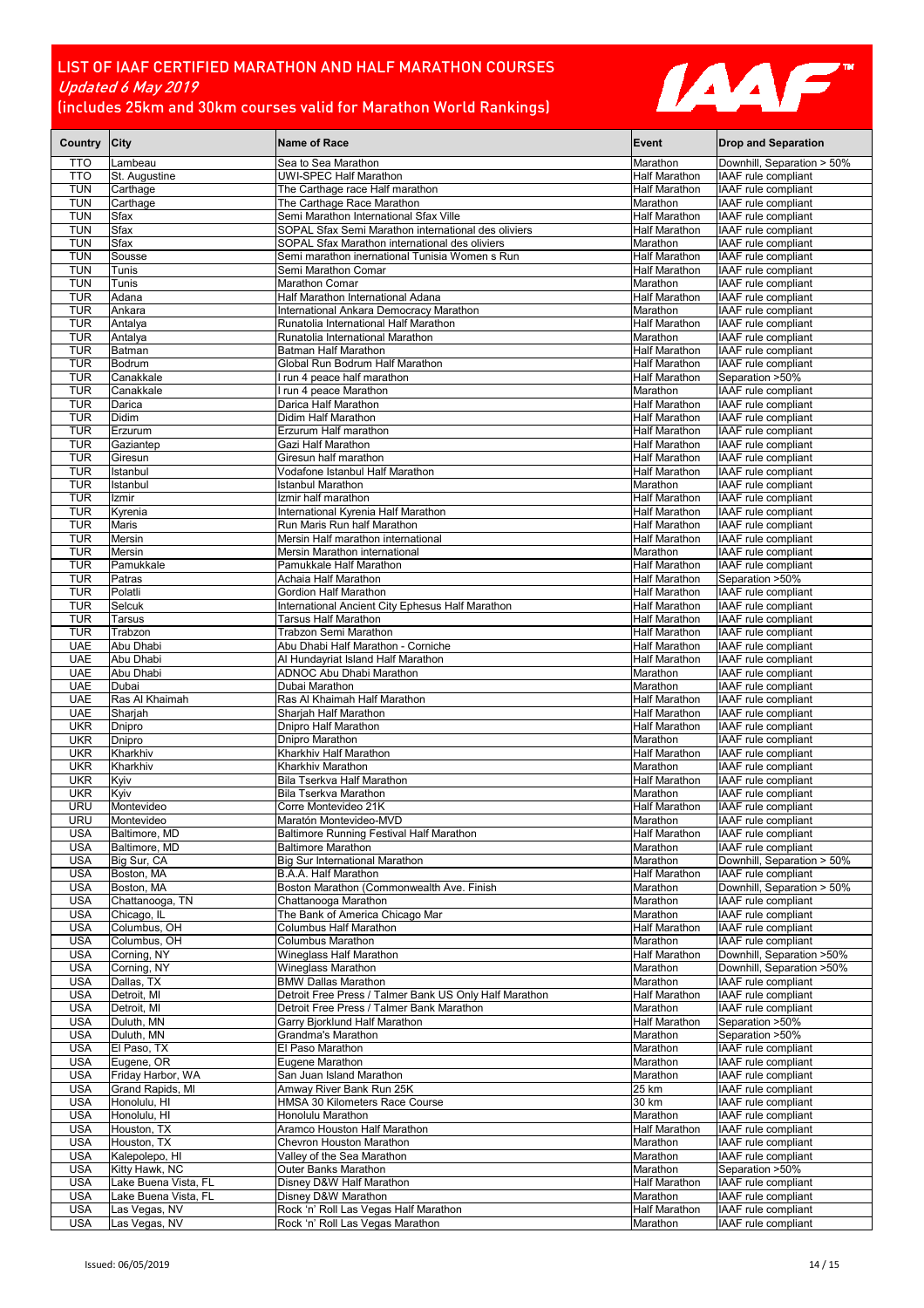

| Country City             |                                              | <b>Name of Race</b>                                                                           | Event                                        | <b>Drop and Separation</b>                        |
|--------------------------|----------------------------------------------|-----------------------------------------------------------------------------------------------|----------------------------------------------|---------------------------------------------------|
| <b>TTO</b>               | Lambeau                                      | Sea to Sea Marathon                                                                           | Marathon                                     | Downhill, Separation > 50%                        |
| <b>TTO</b>               | St. Augustine                                | UWI-SPEC Half Marathon                                                                        | Half Marathon                                | IAAF rule compliant                               |
| <b>TUN</b>               | Carthage                                     | The Carthage race Half marathon                                                               | Half Marathon                                | IAAF rule compliant                               |
| <b>TUN</b>               | Carthage                                     | The Carthage Race Marathon                                                                    | Marathon                                     | IAAF rule compliant                               |
| <b>TUN</b><br><b>TUN</b> | Sfax<br>Sfax                                 | Semi Marathon International Sfax Ville<br>SOPAL Sfax Semi Marathon international des oliviers | <b>Half Marathon</b><br><b>Half Marathon</b> | IAAF rule compliant<br>IAAF rule compliant        |
| <b>TUN</b>               | Sfax                                         | SOPAL Sfax Marathon international des oliviers                                                | Marathon                                     | <b>IAAF</b> rule compliant                        |
| <b>TUN</b>               | Sousse                                       | Semi marathon inernational Tunisia Women s Run                                                | <b>Half Marathon</b>                         | IAAF rule compliant                               |
| <b>TUN</b>               | Tunis                                        | Semi Marathon Comar                                                                           | Half Marathon                                | IAAF rule compliant                               |
| <b>TUN</b>               | Tunis                                        | Marathon Comar                                                                                | Marathon                                     | IAAF rule compliant                               |
| <b>TUR</b>               | Adana                                        | Half Marathon International Adana                                                             | Half Marathon                                | IAAF rule compliant                               |
| <b>TUR</b>               | Ankara                                       | International Ankara Democracy Marathon                                                       | Marathon                                     | IAAF rule compliant                               |
| <b>TUR</b>               | Antalya                                      | Runatolia International Half Marathon                                                         | <b>Half Marathon</b>                         | IAAF rule compliant                               |
| <b>TUR</b>               | Antalya                                      | Runatolia International Marathon                                                              | Marathon                                     | IAAF rule compliant                               |
| <b>TUR</b>               | Batman                                       | Batman Half Marathon                                                                          | Half Marathon                                | IAAF rule compliant                               |
| <b>TUR</b>               | Bodrum                                       | Global Run Bodrum Half Marathon                                                               | Half Marathon                                | IAAF rule compliant                               |
| <b>TUR</b>               | Canakkale                                    | run 4 peace half marathon                                                                     | <b>Half Marathon</b>                         | Separation >50%                                   |
| <b>TUR</b><br><b>TUR</b> | Canakkale<br>Darica                          | I run 4 peace Marathon<br>Darica Half Marathon                                                | Marathon<br><b>Half Marathon</b>             | IAAF rule compliant<br>IAAF rule compliant        |
| <b>TUR</b>               | Didim                                        | Didim Half Marathon                                                                           | Half Marathon                                | IAAF rule compliant                               |
| <b>TUR</b>               | Erzurum                                      | Erzurum Half marathon                                                                         | <b>Half Marathon</b>                         | IAAF rule compliant                               |
| <b>TUR</b>               | Gaziantep                                    | Gazi Half Marathon                                                                            | Half Marathon                                | IAAF rule compliant                               |
| <b>TUR</b>               | Giresun                                      | Giresun half marathon                                                                         | <b>Half Marathon</b>                         | IAAF rule compliant                               |
| <b>TUR</b>               | Istanbul                                     | Vodafone Istanbul Half Marathon                                                               | <b>Half Marathon</b>                         | IAAF rule compliant                               |
| <b>TUR</b>               | Istanbul                                     | Istanbul Marathon                                                                             | Marathon                                     | IAAF rule compliant                               |
| <b>TUR</b>               | Izmir                                        | Izmir half marathon                                                                           | Half Marathon                                | IAAF rule compliant                               |
| <b>TUR</b>               | Kyrenia                                      | International Kyrenia Half Marathon                                                           | Half Marathon                                | IAAF rule compliant                               |
| <b>TUR</b>               | Maris                                        | Run Maris Run half Marathon                                                                   | Half Marathon                                | IAAF rule compliant                               |
| <b>TUR</b>               | Mersin                                       | Mersin Half marathon international                                                            | <b>Half Marathon</b>                         | IAAF rule compliant                               |
| <b>TUR</b><br><b>TUR</b> | Mersin<br>Pamukkale                          | Mersin Marathon international<br>Pamukkale Half Marathon                                      | Marathon<br><b>Half Marathon</b>             | IAAF rule compliant<br><b>IAAF</b> rule compliant |
| <b>TUR</b>               | Patras                                       | Achaia Half Marathon                                                                          | <b>Half Marathon</b>                         | Separation >50%                                   |
| <b>TUR</b>               | Polatli                                      | Gordion Half Marathon                                                                         | <b>Half Marathon</b>                         | IAAF rule compliant                               |
| <b>TUR</b>               | Selcuk                                       | International Ancient City Ephesus Half Marathon                                              | Half Marathon                                | IAAF rule compliant                               |
| <b>TUR</b>               | Tarsus                                       | Tarsus Half Marathon                                                                          | <b>Half Marathon</b>                         | IAAF rule compliant                               |
| <b>TUR</b>               | Trabzon                                      | Trabzon Semi Marathon                                                                         | Half Marathon                                | IAAF rule compliant                               |
| <b>UAE</b>               | Abu Dhabi                                    | Abu Dhabi Half Marathon - Corniche                                                            | Half Marathon                                | IAAF rule compliant                               |
| <b>UAE</b>               | Abu Dhabi                                    | Al Hundayriat Island Half Marathon                                                            | Half Marathon                                | IAAF rule compliant                               |
| <b>UAE</b>               | Abu Dhabi                                    | <b>ADNOC Abu Dhabi Marathon</b>                                                               | Marathon                                     | IAAF rule compliant                               |
| <b>UAE</b>               | Dubai                                        | Dubai Marathon                                                                                | Marathon                                     | IAAF rule compliant                               |
| <b>UAE</b>               | Ras Al Khaimah                               | Ras Al Khaimah Half Marathon                                                                  | <b>Half Marathon</b>                         | IAAF rule compliant                               |
| <b>UAE</b><br><b>UKR</b> | Sharjah                                      | Sharjah Half Marathon<br>Dnipro Half Marathon                                                 | Half Marathon<br><b>Half Marathon</b>        | IAAF rule compliant<br>IAAF rule compliant        |
| <b>UKR</b>               | Dnipro<br><b>Dnipro</b>                      | Dnipro Marathon                                                                               | Marathon                                     | IAAF rule compliant                               |
| <b>UKR</b>               | Kharkhiv                                     | Kharkhiv Half Marathon                                                                        | Half Marathon                                | IAAF rule compliant                               |
| <b>UKR</b>               | Kharkhiv                                     | Kharkhiv Marathon                                                                             | Marathon                                     | IAAF rule compliant                               |
| <b>UKR</b>               | Kyiv                                         | Bila Tserkva Half Marathon                                                                    | Half Marathon                                | IAAF rule compliant                               |
| <b>UKR</b>               | Kyiv                                         | <b>Bila Tserkva Marathon</b>                                                                  | Marathon                                     | IAAF rule compliant                               |
| <b>URU</b>               | Montevideo                                   | Corre Montevideo 21K                                                                          | <b>Half Marathon</b>                         | IAAF rule compliant                               |
| <b>URU</b>               | Montevideo                                   | Maratón Montevideo-MVD                                                                        | Marathon                                     | IAAF rule compliant                               |
| USA                      | Baltimore, MD                                | Baltimore Running Festival Half Marathon                                                      | <b>Half Marathon</b>                         | IAAF rule compliant                               |
| <b>USA</b>               | Baltimore, MD                                | <b>Baltimore Marathon</b>                                                                     | Marathon                                     | IAAF rule compliant                               |
| <b>USA</b>               | Big Sur, CA                                  | <b>Big Sur International Marathon</b>                                                         | Marathon                                     | Downhill, Separation > 50%                        |
| <b>USA</b><br><b>USA</b> | Boston, MA<br>Boston, MA                     | B.A.A. Half Marathon<br>Boston Marathon (Commonwealth Ave. Finish                             | <b>Half Marathon</b><br>Marathon             | IAAF rule compliant<br>Downhill, Separation > 50% |
| <b>USA</b>               | Chattanooga, TN                              | Chattanooga Marathon                                                                          | Marathon                                     | IAAF rule compliant                               |
| <b>USA</b>               | Chicago, IL                                  | The Bank of America Chicago Mar                                                               | Marathon                                     | IAAF rule compliant                               |
| <b>USA</b>               | Columbus, OH                                 | Columbus Half Marathon                                                                        | Half Marathon                                | IAAF rule compliant                               |
| <b>USA</b>               | Columbus, OH                                 | <b>Columbus Marathon</b>                                                                      | Marathon                                     | IAAF rule compliant                               |
| <b>USA</b>               | Corning, NY                                  | Wineglass Half Marathon                                                                       | Half Marathon                                | Downhill, Separation >50%                         |
| <b>USA</b>               | Corning, NY                                  | Wineglass Marathon                                                                            | Marathon                                     | Downhill, Separation >50%                         |
| <b>USA</b>               | Dallas, TX                                   | <b>BMW Dallas Marathon</b>                                                                    | Marathon                                     | IAAF rule compliant                               |
| <b>USA</b>               | Detroit, MI                                  | Detroit Free Press / Talmer Bank US Only Half Marathon                                        | Half Marathon                                | IAAF rule compliant                               |
| <b>USA</b>               | Detroit, MI                                  | Detroit Free Press / Talmer Bank Marathon                                                     | Marathon                                     | IAAF rule compliant                               |
| <b>USA</b><br><b>USA</b> | Duluth, MN<br>Duluth, MN                     | Garry Bjorklund Half Marathon<br>Grandma's Marathon                                           | <b>Half Marathon</b><br>Marathon             | Separation >50%<br>Separation >50%                |
| <b>USA</b>               | El Paso, TX                                  | El Paso Marathon                                                                              | Marathon                                     | IAAF rule compliant                               |
| <b>USA</b>               | Eugene, OR                                   | Eugene Marathon                                                                               | Marathon                                     | IAAF rule compliant                               |
| <b>USA</b>               | Friday Harbor, WA                            | San Juan Island Marathon                                                                      | Marathon                                     | IAAF rule compliant                               |
| <b>USA</b>               | Grand Rapids, MI                             | Amway River Bank Run 25K                                                                      | $25 \text{ km}$                              | IAAF rule compliant                               |
| <b>USA</b>               | Honolulu, HI                                 | HMSA 30 Kilometers Race Course                                                                | 30 km                                        | IAAF rule compliant                               |
| <b>USA</b>               | Honolulu, HI                                 | Honolulu Marathon                                                                             | Marathon                                     | IAAF rule compliant                               |
| <b>USA</b>               | Houston, TX                                  | Aramco Houston Half Marathon                                                                  | Half Marathon                                | IAAF rule compliant                               |
| <b>USA</b>               | Houston, TX                                  | Chevron Houston Marathon                                                                      | Marathon                                     | IAAF rule compliant                               |
| <b>USA</b>               | Kalepolepo, HI                               | Valley of the Sea Marathon                                                                    | Marathon                                     | IAAF rule compliant                               |
| <b>USA</b>               | Kitty Hawk, NC                               | Outer Banks Marathon                                                                          | Marathon                                     | Separation >50%                                   |
| <b>USA</b><br><b>USA</b> | Lake Buena Vista, FL<br>Lake Buena Vista, FL | Disney D&W Half Marathon<br>Disney D&W Marathon                                               | Half Marathon<br>Marathon                    | IAAF rule compliant<br>IAAF rule compliant        |
| <b>USA</b>               | Las Vegas, NV                                | Rock 'n' Roll Las Vegas Half Marathon                                                         | Half Marathon                                | IAAF rule compliant                               |
| <b>USA</b>               | Las Vegas, NV                                | Rock 'n' Roll Las Vegas Marathon                                                              | Marathon                                     | IAAF rule compliant                               |